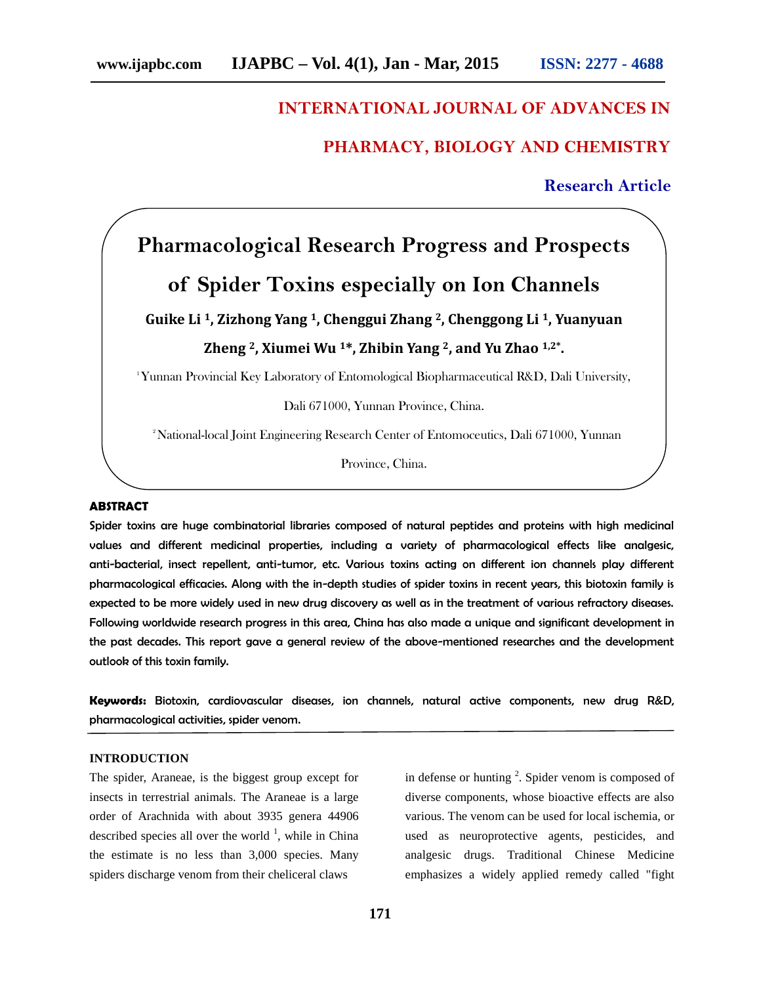## **INTERNATIONAL JOURNAL OF ADVANCES IN**

# **PHARMACY, BIOLOGY AND CHEMISTRY**

# **Research Article**

# **Pharmacological Research Progress and Prospects** FHANWACT, BIOLOGT AND CHEMISTRT<br>
Research Article<br>
of Spider Toxins especially on Ion Channels<br>
ke Li<sup>1</sup>, Zizhong Yang<sup>1</sup>, Chenggui Zhang<sup>2</sup>, Chenggong Li<sup>1</sup>, Yuanyuan

**Guike Li <sup>1</sup>, Zizhong Yang <sup>1</sup>, Chenggui Zhang <sup>2</sup>, Chenggong Li <sup>1</sup>, Yuanyuan Zheng <sup>2</sup>, Xiumei Wu <sup>1</sup>\*, Zhibin Yang <sup>2</sup>, and Yu Zhao 1,2\* .**

<sup>1</sup>Yunnan Provincial Key Laboratory of Entomological Biopharmaceutical R&D, Dali University,

Dali 671000, Yunnan Province, China.

<sup>2</sup>National-local Joint Engineering Research Center of Entomoceutics, Dali 671000, Yunnan

Province, China.

#### **ABSTRACT**

Spider toxins are huge combinatorial libraries composed of natural peptides and proteins with high medicinal values and different medicinal properties, including a variety of pharmacological effects like analgesic, anti-bacterial, insect repellent, anti-tumor, etc. Various toxins acting on different ion channels play different pharmacological efficacies. Along with the in-depth studies of spider toxins in recent years, this biotoxin family is expected to be more widely used in new drug discovery as well as in the treatment of various refractory diseases. Following worldwide research progress in this area, China has also made a unique and significant development in the past decades. This report gave a general review of the above-mentioned researches and the development outlook of this toxin family.

**Keywords:** Biotoxin, cardiovascular diseases, ion channels, natural active components, new drug R&D, pharmacological activities, spider venom.

#### **INTRODUCTION**

The spider, Araneae, is the biggest group except for insects in terrestrial animals. The Araneae is a large order of Arachnida with about 3935 genera 44906 described species all over the world  $\frac{1}{1}$ , while in China the estimate is no less than 3,000 species. Many spiders discharge venom from their cheliceral claws

in defense or hunting  $2$ . Spider venom is composed of diverse components, whose bioactive effects are also various. The venom can be used for local ischemia, or used as neuroprotective agents, pesticides, and analgesic drugs. Traditional Chinese Medicine emphasizes a widely applied remedy called "fight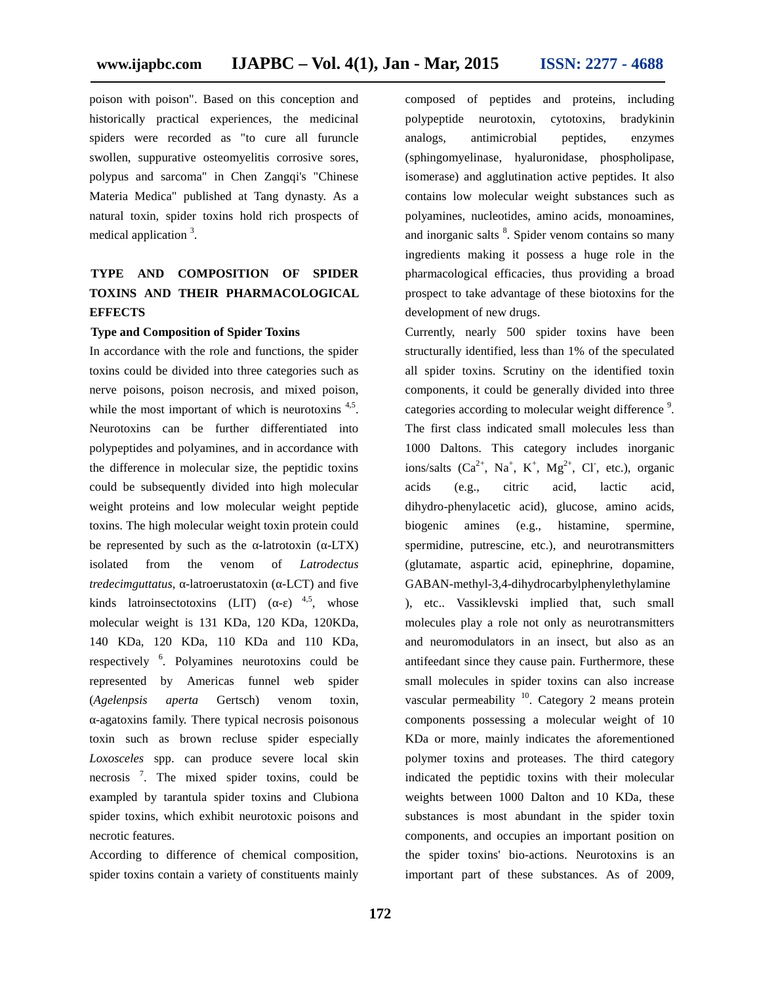poison with poison". Based on this conception and historically practical experiences, the medicinal spiders were recorded as "to cure all furuncle swollen, suppurative osteomyelitis corrosive sores, polypus and sarcoma" in Chen Zangqi's "Chinese Materia Medica" published at Tang dynasty. As a natural toxin, spider toxins hold rich prospects of medical application <sup>3</sup>.

# **TYPE AND COMPOSITION OF SPIDER TOXINS AND THEIR PHARMACOLOGICAL EFFECTS**

#### **Type and Composition of Spider Toxins**

In accordance with the role and functions, the spider toxins could be divided into three categories such as nerve poisons, poison necrosis, and mixed poison, while the most important of which is neurotoxins <sup>4,5</sup>. Neurotoxins can be further differentiated into polypeptides and polyamines, and in accordance with the difference in molecular size, the peptidic toxins could be subsequently divided into high molecular weight proteins and low molecular weight peptide toxins. The high molecular weight toxin protein could be represented by such as the -latrotoxin ( -LTX) isolated from the venom of *Latrodectus tredecimguttatus*, -latroerustatoxin ( -LCT) and five kinds latroinsectotoxins  $(LIT)$  (-)<sup>4,5</sup>, whose molecular weight is 131 KDa, 120 KDa, 120KDa, 140 KDa, 120 KDa, 110 KDa and 110 KDa, respectively <sup>6</sup> . Polyamines neurotoxins could be represented by Americas funnel web spider (*Agelenpsis aperta* Gertsch) venom toxin, -agatoxins family. There typical necrosis poisonous toxin such as brown recluse spider especially *Loxosceles* spp. can produce severe local skin necrosis <sup>7</sup> . The mixed spider toxins, could be exampled by tarantula spider toxins and Clubiona spider toxins, which exhibit neurotoxic poisons and necrotic features.

According to difference of chemical composition, spider toxins contain a variety of constituents mainly composed of peptides and proteins, including polypeptide neurotoxin, cytotoxins, bradykinin analogs, antimicrobial peptides, enzymes (sphingomyelinase, hyaluronidase, phospholipase, isomerase) and agglutination active peptides. It also contains low molecular weight substances such as polyamines, nucleotides, amino acids, monoamines, and inorganic salts <sup>8</sup>. Spider venom contains so many ingredients making it possess a huge role in the pharmacological efficacies, thus providing a broad prospect to take advantage of these biotoxins for the development of new drugs.

Currently, nearly 500 spider toxins have been structurally identified, less than 1% of the speculated all spider toxins. Scrutiny on the identified toxin components, it could be generally divided into three categories according to molecular weight difference <sup>9</sup>. The first class indicated small molecules less than 1000 Daltons. This category includes inorganic ions/salts  $(Ca^{2+}$ , Na<sup>+</sup>, K<sup>+</sup>, Mg<sup>2+</sup>, Cl<sup>-</sup>, etc.), organic acids (e.g., citric acid, lactic acid, dihydro-phenylacetic acid), glucose, amino acids, amines (e.g., histamine, spermine, spermidine, putrescine, etc.), and neurotransmitters (glutamate, aspartic acid, epinephrine, dopamine, GABAN-methyl-3,4-dihydrocarbylphenylethylamine ), etc.. Vassiklevski implied that, such small molecules play a role not only as neurotransmitters and neuromodulators in an insect, but also as an antifeedant since they cause pain. Furthermore, these small molecules in spider toxins can also increase vascular permeability  $10$ . Category 2 means protein components possessing a molecular weight of 10 KDa or more, mainly indicates the aforementioned polymer toxins and proteases. The third category indicated the peptidic toxins with their molecular weights between 1000 Dalton and 10 KDa, these substances is most abundant in the spider toxin components, and occupies an important position on the spider toxins' bio-actions. Neurotoxins is an important part of these substances. As of 2009,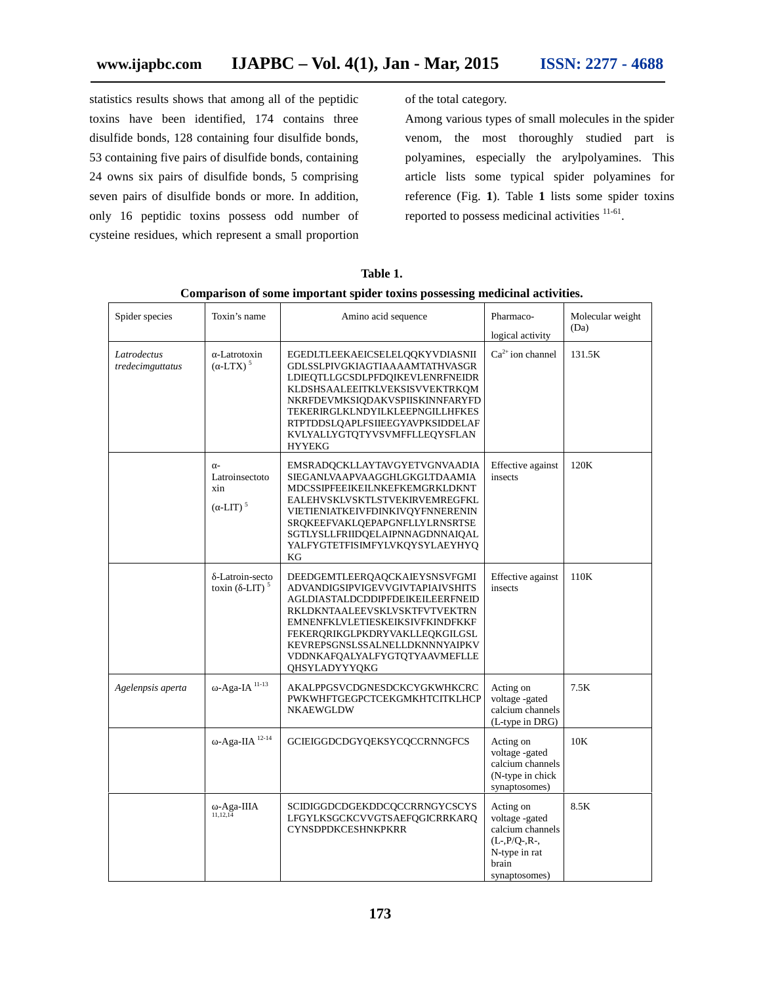statistics results shows that among all of the peptidic toxins have been identified, 174 contains three disulfide bonds, 128 containing four disulfide bonds, 53 containing five pairs of disulfide bonds, containing 24 owns six pairs of disulfide bonds, 5 comprising seven pairs of disulfide bonds or more. In addition, only 16 peptidic toxins possess odd number of cysteine residues, which represent a small proportion of the total category.

Among various types of small molecules in the spider venom, the most thoroughly studied part is polyamines, especially the arylpolyamines. This article lists some typical spider polyamines for reference (Fig. **1**). Table **1** lists some spider toxins reported to possess medicinal activities  $11-61$ . .

| Spider species<br>Toxin's name  |                                            | Amino acid sequence                                                                                                                                                                                                                                                                                           | Pharmaco-<br>logical activity                                                                                  | Molecular weight<br>(Da) |
|---------------------------------|--------------------------------------------|---------------------------------------------------------------------------------------------------------------------------------------------------------------------------------------------------------------------------------------------------------------------------------------------------------------|----------------------------------------------------------------------------------------------------------------|--------------------------|
| Latrodectus<br>tredecimguttatus | -Latrotoxin<br>$(LTX)^5$                   | EGEDLTLEEKAEICSELELQQKYVDIASNII<br><b>GDLSSLPIVGKIAGTIAAAAMTATHVASGR</b><br>LDIEQTLLGCSDLPFDQIKEVLENRFNEIDR<br>KLDSHSAALEEITKLVEKSISVVEKTRKQM<br>NKRFDEVMKSIODAKVSPIISKINNFARYFD<br>TEKERIRGLKLNDYILKLEEPNGILLHFKES<br>RTPTDDSLQAPLFSIIEEGYAVPKSIDDELAF<br>KVLYALLYGTQTYVSVMFFLLEQYSFLAN<br><b>HYYEKG</b>     | $Ca^{2+}$ ion channel                                                                                          | 131.5K                   |
|                                 | Latroinsectoto<br>xin<br>$($ -LIT $)^5$    | EMSRADQCKLLAYTAVGYETVGNVAADIA<br>SIEGANLVAAPVAAGGHLGKGLTDAAMIA<br>MDCSSIPFEEIKEILNKEFKEMGRKLDKNT<br>EALEHVSKLVSKTLSTVEKIRVEMREGFKL<br>VIETIENIATKEIVFDINKIVQYFNNERENIN<br>SRQKEEFVAKLQEPAPGNFLLYLRNSRTSE<br>SGTLYSLLFRIIDQELAIPNNAGDNNAIQAL<br>YALFYGTETFISIMFYLVKQYSYLAEYHYQ<br>KG                           | Effective against<br>insects                                                                                   | 120K                     |
|                                 | -Latroin-secto<br>toxin $(-LIT)^5$         | DEEDGEMTLEERQAQCKAIEYSNSVFGMI<br><b>ADVANDIGSIPVIGEVVGIVTAPIAIVSHITS</b><br>AGLDIASTALDCDDIPFDEIKEILEERFNEID<br>RKLDKNTAALEEVSKLVSKTFVTVEKTRN<br>EMNENFKLVLETIESKEIKSIVFKINDFKKF<br>FEKERQRIKGLPKDRYVAKLLEQKGILGSL<br>KEVREPSGNSLSSALNELLDKNNNYAIPKV<br>VDDNKAFQALYALFYGTQTYAAVMEFLLE<br><b>OHSYLADYYYOKG</b> | Effective against<br>insects                                                                                   | 110K                     |
| Agelenpsis aperta               | -Aga-IA $11-13$                            | AKALPPGSVCDGNESDCKCYGKWHKCRC<br>PWKWHFTGEGPCTCEKGMKHTCITKLHCP<br><b>NKAEWGLDW</b>                                                                                                                                                                                                                             | Acting on<br>voltage -gated<br>calcium channels<br>(L-type in DRG)                                             | 7.5K                     |
|                                 | -Aga-IIA $^{12-14}$                        | GCIEIGGDCDGYQEKSYCQCCRNNGFCS                                                                                                                                                                                                                                                                                  | Acting on<br>voltage -gated<br>calcium channels<br>(N-type in chick)<br>synaptosomes)                          | 10K                      |
|                                 | -Aga-IIIA $_{\scriptscriptstyle 11,12,14}$ | SCIDIGGDCDGEKDDCQCCRRNGYCSCYS<br>LFGYLKSGCKCVVGTSAEFQGICRRKARQ<br><b>CYNSDPDKCESHNKPKRR</b>                                                                                                                                                                                                                   | Acting on<br>voltage -gated<br>calcium channels<br>$(L-, P/Q-, R-,$<br>N-type in rat<br>brain<br>synaptosomes) | 8.5K                     |

**Table 1.**

#### **Comparison of some important spider toxins possessing medicinal activities.**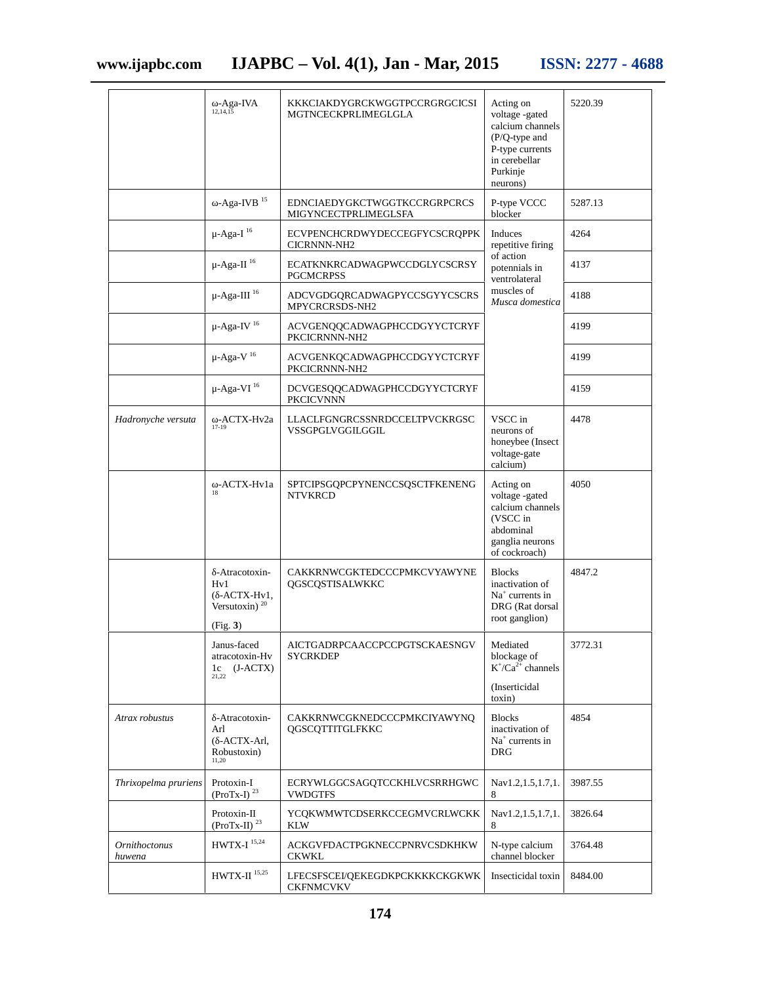|                                       | -Aga-IVA<br>12, 14, 15                                                    | KKKCIAKDYGRCKWGGTPCCRGRGCICSI<br>MGTNCECKPRLIMEGLGLA        | Acting on<br>voltage -gated<br>calcium channels<br>$(P/Q$ -type and<br>P-type currents<br>in cerebellar<br>Purkinje<br>neurons) | 5220.39 |
|---------------------------------------|---------------------------------------------------------------------------|-------------------------------------------------------------|---------------------------------------------------------------------------------------------------------------------------------|---------|
|                                       | -Aga-IVB <sup>15</sup>                                                    | <b>EDNCIAEDYGKCTWGGTKCCRGRPCRCS</b><br>MIGYNCECTPRLIMEGLSFA | P-type VCCC<br>blocker                                                                                                          | 5287.13 |
|                                       | $\mu$ -Aga-I $^{16}$                                                      | <b>ECVPENCHCRDWYDECCEGFYCSCRQPPK</b><br><b>CICRNNN-NH2</b>  | Induces<br>repetitive firing                                                                                                    | 4264    |
|                                       | $\mu$ -Aga-II <sup>16</sup>                                               | ECATKNKRCADWAGPWCCDGLYCSCRSY<br><b>PGCMCRPSS</b>            | of action<br>potennials in<br>ventrolateral<br>muscles of<br>Musca domestica                                                    | 4137    |
|                                       | $\mu$ -Aga-III <sup>16</sup>                                              | ADCVGDGQRCADWAGPYCCSGYYCSCRS<br>MPYCRCRSDS-NH2              |                                                                                                                                 | 4188    |
|                                       | $\mu$ -Aga-IV <sup>16</sup>                                               | ACVGENQQCADWAGPHCCDGYYCTCRYF<br>PKCICRNNN-NH2               |                                                                                                                                 | 4199    |
|                                       | $\mu$ -Aga-V <sup>16</sup>                                                | ACVGENKQCADWAGPHCCDGYYCTCRYF<br>PKCICRNNN-NH2               |                                                                                                                                 | 4199    |
|                                       | $\upmu\text{-}\mathrm{Aga\text{-}VI}$ $^{16}$                             | DCVGESQQCADWAGPHCCDGYYCTCRYF<br><b>PKCICVNNN</b>            |                                                                                                                                 | 4159    |
| Hadronyche versuta                    | -ACTX-Hv2a<br>$17 - 19$                                                   | LLACLFGNGRCSSNRDCCELTPVCKRGSC<br>VSSGPGLVGGILGGIL           | VSCC in<br>neurons of<br>honeybee (Insect<br>voltage-gate<br>calcium)                                                           | 4478    |
|                                       | -ACTX-Hv1a<br>18                                                          | SPTCIPSGQPCPYNENCCSQSCTFKENENG<br><b>NTVKRCD</b>            | Acting on<br>voltage -gated<br>calcium channels<br>(VSCC in<br>abdominal<br>ganglia neurons<br>of cockroach)                    | 4050    |
|                                       | -Atracotoxin-<br>Hv1<br>$( -ACTX-Hv1,$<br>Versutoxin) $^{20}$<br>(Fig. 3) | CAKKRNWCGKTEDCCCPMKCVYAWYNE<br>QGSCQSTISALWKKC              | <b>Blocks</b><br>inactivation of<br>$Na+ currents in$<br>DRG (Rat dorsal<br>root ganglion)                                      | 4847.2  |
|                                       | Janus-faced<br>atracotoxin-Hv<br>$1c$ (J-ACTX)<br>21,22                   | AICTGADRPCAACCPCCPGTSCKAESNGV<br>SYCRKDEP                   | Mediated<br>blockage of<br>$K^*/Ca^{2+}$ channels<br>(Inserticidal)<br>toxin)                                                   | 3772.31 |
| Atrax robustus                        | -Atracotoxin-<br>Arl<br>(-ACTX-Arl,<br>Robustoxin)<br>11,20               | CAKKRNWCGKNEDCCCPMKCIYAWYNQ<br>QGSCQTTITGLFKKC              | <b>Blocks</b><br>inactivation of<br>Na <sup>+</sup> currents in<br><b>DRG</b>                                                   | 4854    |
| Thrixopelma pruriens                  | Protoxin-I<br>(ProTx-I) $^{23}$                                           | ECRYWLGGCSAGQTCCKHLVCSRRHGWC<br>VWDGTFS                     | Nav1.2,1.5,1.7,1.<br>8                                                                                                          | 3987.55 |
|                                       | Protoxin-II<br>(ProTx-II) $^{23}$                                         | YCQKWMWTCDSERKCCEGMVCRLWCKK<br><b>KLW</b>                   | Nav1.2,1.5,1.7,1.<br>8                                                                                                          | 3826.64 |
| <i><b>Ornithoctonus</b></i><br>huwena | $\rm HWTX\text{-}I$ $^{15,24}$                                            | ACKGVFDACTPGKNECCPNRVCSDKHKW<br><b>CKWKL</b>                | N-type calcium<br>channel blocker                                                                                               | 3764.48 |
|                                       | HWTX-II $15,25$                                                           | LFECSFSCEI/QEKEGDKPCKKKKCKGKWK<br><b>CKFNMCVKV</b>          | Insecticidal toxin                                                                                                              | 8484.00 |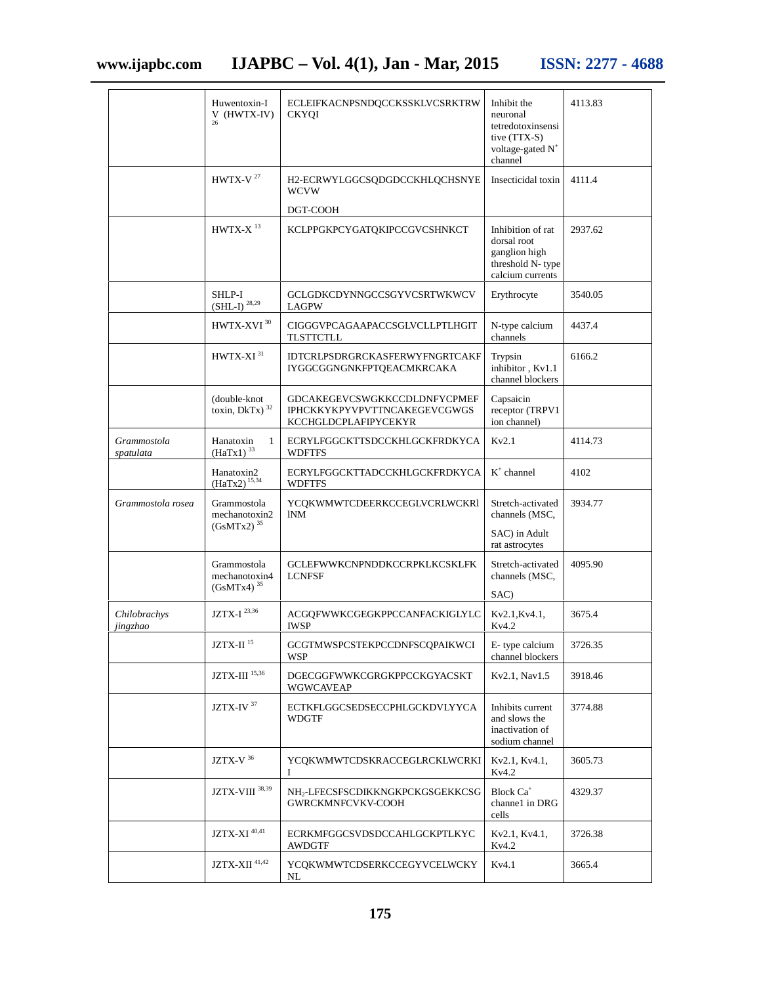|                          | Huwentoxin-I<br>V (HWTX-IV)<br>26               | ECLEIFKACNPSNDQCCKSSKLVCSRKTRW<br><b>CKYOI</b>                                              | Inhibit the<br>neuronal<br>tetredotoxinsensi<br>tive (TTX-S)<br>voltage-gated N <sup>+</sup><br>channel | 4113.83 |
|--------------------------|-------------------------------------------------|---------------------------------------------------------------------------------------------|---------------------------------------------------------------------------------------------------------|---------|
|                          | HWTX-V $^{27}$                                  | H2-ECRWYLGGCSQDGDCCKHLQCHSNYE<br><b>WCVW</b>                                                | Insecticidal toxin                                                                                      | 4111.4  |
|                          |                                                 | DGT-COOH                                                                                    |                                                                                                         |         |
|                          | $HWTX-X$ <sup>13</sup>                          | KCLPPGKPCYGATQKIPCCGVCSHNKCT                                                                | Inhibition of rat<br>dorsal root<br>ganglion high<br>threshold N-type<br>calcium currents               | 2937.62 |
|                          | SHLP-I<br>$(SHL-I)$ <sup>28,29</sup>            | GCLGDKCDYNNGCCSGYVCSRTWKWCV<br><b>LAGPW</b>                                                 | Erythrocyte                                                                                             | 3540.05 |
|                          | HWTX-XVI <sup>30</sup>                          | CIGGGVPCAGAAPACCSGLVCLLPTLHGIT<br>TLSTTCTLL                                                 | N-type calcium<br>channels                                                                              | 4437.4  |
|                          | HWTX-XI <sup>31</sup>                           | <b>IDTCRLPSDRGRCKASFERWYFNGRTCAKF</b><br>IYGGCGGNGNKFPTQEACMKRCAKA                          | Trypsin<br>inhibitor, Kv1.1<br>channel blockers                                                         | 6166.2  |
|                          | (double-knot<br>toxin, DkTx) <sup>32</sup>      | GDCAKEGEVCSWGKKCCDLDNFYCPMEF<br><b>IPHCKKYKPYVPVTTNCAKEGEVCGWGS</b><br>KCCHGLDCPLAFIPYCEKYR | Capsaicin<br>receptor (TRPV1<br>ion channel)                                                            |         |
| Grammostola<br>spatulata | Hanatoxin<br>$\mathbf{1}$<br>$(HaTx1)^{33}$     | ECRYLFGGCKTTSDCCKHLGCKFRDKYCA<br><b>WDFTFS</b>                                              | Kv2.1                                                                                                   | 4114.73 |
|                          | Hanatoxin2<br>$(HaTx2)^{15,34}$                 | ECRYLFGGCKTTADCCKHLGCKFRDKYCA<br><b>WDFTFS</b>                                              | $K^+$ channel                                                                                           | 4102    |
| Grammostola rosea        | Grammostola<br>mechanotoxin2<br>$(GsMTx2)^{35}$ | YCQKWMWTCDEERKCCEGLVCRLWCKR1<br><b>INM</b>                                                  | Stretch-activated<br>channels (MSC,                                                                     | 3934.77 |
|                          |                                                 |                                                                                             | SAC) in Adult<br>rat astrocytes                                                                         |         |
|                          | Grammostola<br>mechanotoxin4<br>$(GsMTx4)^{35}$ | <b>GCLEFWWKCNPNDDKCCRPKLKCSKLFK</b><br><b>LCNFSF</b>                                        | Stretch-activated<br>channels (MSC,                                                                     | 4095.90 |
|                          |                                                 |                                                                                             | SAC)                                                                                                    |         |
| Chilobrachys<br>jingzhao | JZTX-I $^{23,36}$                               | ACGQFWWKCGEGKPPCCANFACKIGLYLC<br><b>IWSP</b>                                                | Kv2.1, Kv4.1,<br>Kv4.2                                                                                  | 3675.4  |
|                          | $\rm JZTX\text{-}II$ $^{15}$                    | <b>GCGTMWSPCSTEKPCCDNFSCQPAIKWCI</b><br>WSP                                                 | E-type calcium<br>channel blockers                                                                      | 3726.35 |
|                          | $\rm JZTX\text{-}III$ $^{15,36}$                | DGECGGFWWKCGRGKPPCCKGYACSKT<br>WGWCAVEAP                                                    | Kv2.1, Nav1.5                                                                                           | 3918.46 |
|                          | JZTX-IV <sup>37</sup>                           | ECTKFLGGCSEDSECCPHLGCKDVLYYCA<br><b>WDGTF</b>                                               | Inhibits current<br>and slows the<br>inactivation of<br>sodium channel                                  | 3774.88 |
|                          | JZTX-V $36$                                     | YCQKWMWTCDSKRACCEGLRCKLWCRKI<br>L                                                           | Kv2.1, Kv4.1,<br>Kv4.2                                                                                  | 3605.73 |
|                          | JZTX-VIII 38,39                                 | NH <sub>2</sub> -LFECSFSCDIKKNGKPCKGSGEKKCSG<br>GWRCKMNFCVKV-COOH                           | Block Ca <sup>+</sup><br>channel in DRG<br>cells                                                        | 4329.37 |
|                          | JZTX-XI <sup>40,41</sup>                        | ECRKMFGGCSVDSDCCAHLGCKPTLKYC<br>AWDGTF                                                      | Kv2.1, Kv4.1,<br>Kv4.2                                                                                  | 3726.38 |
|                          | $\rm JZTX\text{-}XII$ $^{41,42}$                | YCQKWMWTCDSERKCCEGYVCELWCKY<br>NL                                                           | Kv4.1                                                                                                   | 3665.4  |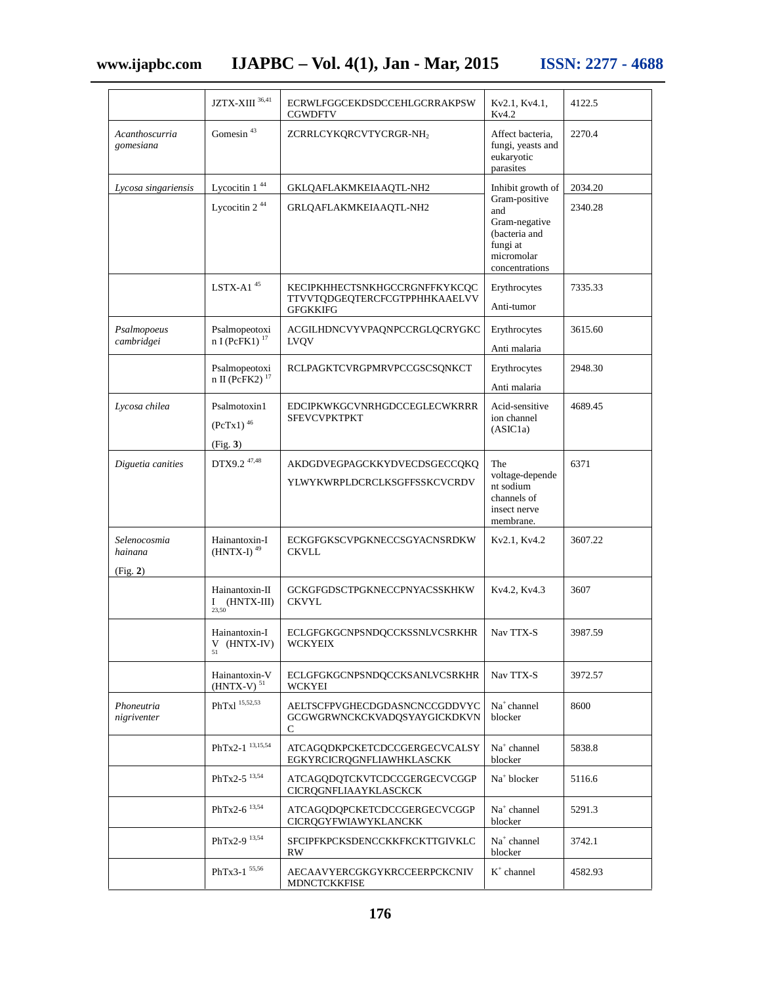# **www.ijapbc.com IJAPBC – Vol. 4(1), Jan - Mar, 2015 ISSN: 2277 - 4688**

|                                     | $\rm JZTX\text{-}XIII$ $^{36,41}$                      | ECRWLFGGCEKDSDCCEHLGCRRAKPSW<br><b>CGWDFTV</b>                                    | Kv2.1, Kv4.1,<br>Kv4.2                                                                                                  | 4122.5             |
|-------------------------------------|--------------------------------------------------------|-----------------------------------------------------------------------------------|-------------------------------------------------------------------------------------------------------------------------|--------------------|
| Acanthoscurria<br>gomesiana         | Gomesin $43$                                           | ZCRRLCYKQRCVTYCRGR-NH2                                                            | Affect bacteria,<br>fungi, yeasts and<br>eukaryotic<br>parasites                                                        | 2270.4             |
| Lycosa singariensis                 | Lycocitin 1 <sup>44</sup><br>Lycocitin 2 <sup>44</sup> | GKLQAFLAKMKEIAAQTL-NH2<br>GRLQAFLAKMKEIAAQTL-NH2                                  | Inhibit growth of<br>Gram-positive<br>and<br>Gram-negative<br>(bacteria and<br>fungi at<br>micromolar<br>concentrations | 2034.20<br>2340.28 |
|                                     | LSTX-A1 $45$                                           | KECIPKHHECTSNKHGCCRGNFFKYKCQC<br>TTVVTQDGEQTERCFCGTPPHHKAAELVV<br><b>GFGKKIFG</b> | Erythrocytes<br>Anti-tumor                                                                                              | 7335.33            |
| Psalmopoeus<br>cambridgei           | Psalmopeotoxi<br>$n I (PeFK1)^{17}$                    | ACGILHDNCVYVPAQNPCCRGLQCRYGKC<br>LVQV                                             | Erythrocytes<br>Anti malaria                                                                                            | 3615.60            |
|                                     | Psalmopeotoxi<br>n II ( $\vec{P}$ FK2) <sup>17</sup>   | RCLPAGKTCVRGPMRVPCCGSCSQNKCT                                                      | Erythrocytes<br>Anti malaria                                                                                            | 2948.30            |
| Lycosa chilea                       | Psalmotoxin1<br>$(PcTx1)^{46}$<br>(Fig. 3)             | EDCIPKWKGCVNRHGDCCEGLECWKRRR<br><b>SFEVCVPKTPKT</b>                               | Acid-sensitive<br>ion channel<br>(ASIC1a)                                                                               | 4689.45            |
| Diguetia canities                   | DTX9.2 <sup>47,48</sup>                                | AKDGDVEGPAGCKKYDVECDSGECCQKQ<br>YLWYKWRPLDCRCLKSGFFSSKCVCRDV                      | The<br>voltage-depende<br>nt sodium<br>channels of<br>insect nerve<br>membrane.                                         | 6371               |
| Selenocosmia<br>hainana<br>(Fig. 2) | Hainantoxin-I<br>$(HNTX-I)$ <sup>49</sup>              | ECKGFGKSCVPGKNECCSGYACNSRDKW<br>CKVLL                                             | Kv2.1, Kv4.2                                                                                                            | 3607.22            |
|                                     | Hainantoxin-II<br>$I$ (HNTX-III)<br>23,50              | GCKGFGDSCTPGKNECCPNYACSSKHKW<br><b>CKVYL</b>                                      | Kv4.2, Kv4.3                                                                                                            | 3607               |
|                                     | Hainantoxin-I<br>${\cal V}$ (HNTX-IV)<br>51            | <b>ECLGFGKGCNPSNDQCCKSSNLVCSRKHR</b><br><b>WCKYEIX</b>                            | Nav TTX-S                                                                                                               | 3987.59            |
|                                     | Hainantoxin-V<br>$(HNTX-V)^{51}$                       | ECLGFGKGCNPSNDQCCKSANLVCSRKHR<br>WCKYEI                                           | Nav TTX-S                                                                                                               | 3972.57            |
| Phoneutria<br>nigriventer           | PhTx1 15,52,53                                         | AELTSCFPVGHECDGDASNCNCCGDDVYC<br>GCGWGRWNCKCKVADQSYAYGICKDKVN<br>С                | Na <sup>+</sup> channel<br>blocker                                                                                      | 8600               |
|                                     | PhTx2-1 13,15,54                                       | ATCAGQDKPCKETCDCCGERGECVCALSY<br>EGKYRCICRQGNFLIAWHKLASCKK                        | $Na+ channel$<br>blocker                                                                                                | 5838.8             |
|                                     | PhTx2-5 <sup>13,54</sup>                               | ATCAGODOTCKVTCDCCGERGECVCGGP<br>CICRQGNFLIAAYKLASCKCK                             | Na <sup>+</sup> blocker                                                                                                 | 5116.6             |
|                                     | $PhTx2-6$ $13,54$                                      | ATCAGQDQPCKETCDCCGERGECVCGGP<br>CICRQGYFWIAWYKLANCKK                              | $Na+ channel$<br>blocker                                                                                                | 5291.3             |
|                                     | PhTx2-9 <sup>13,54</sup>                               | SFCIPFKPCKSDENCCKKFKCKTTGIVKLC<br>RW                                              | Na <sup>+</sup> channel<br>blocker                                                                                      | 3742.1             |
|                                     | PhTx3-1 55,56                                          | AECAAVYERCGKGYKRCCEERPCKCNIV<br>MDNCTCKKFISE                                      | $K^+$ channel                                                                                                           | 4582.93            |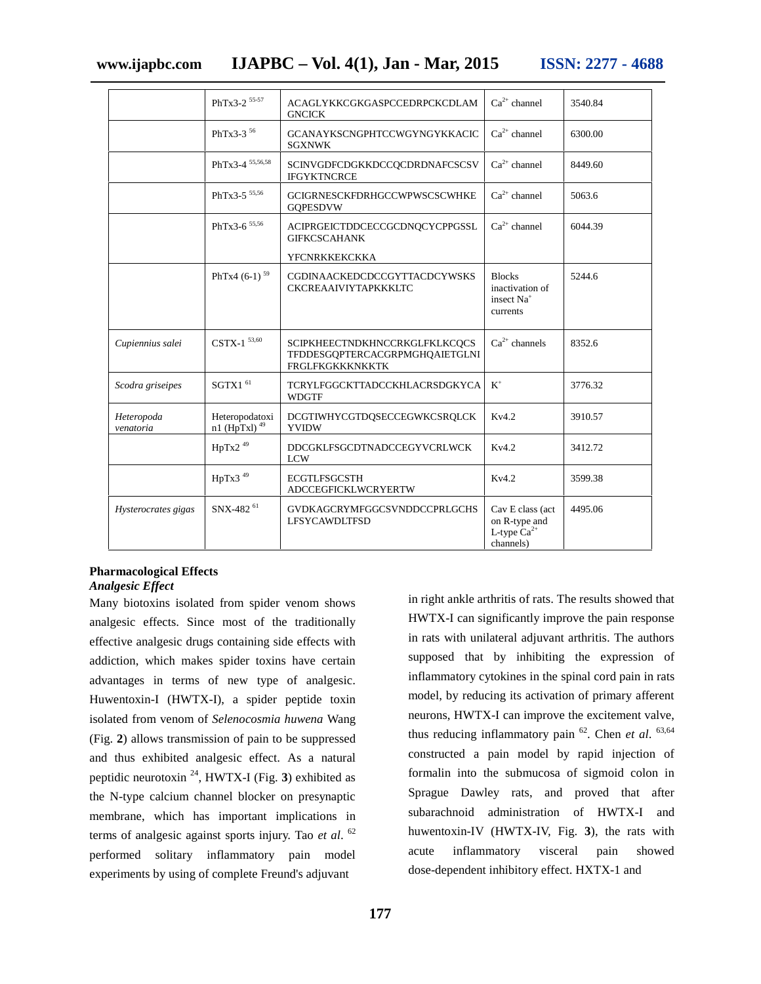|                         | PhTx3-2 55-57                     | ACAGLYKKCGKGASPCCEDRPCKCDLAM<br><b>GNCICK</b>                                             | $Ca^{2+}$ channel                                                      | 3540.84 |
|-------------------------|-----------------------------------|-------------------------------------------------------------------------------------------|------------------------------------------------------------------------|---------|
|                         | PhTx3-3 $56$                      | GCANAYKSCNGPHTCCWGYNGYKKACIC<br><b>SGXNWK</b>                                             | $Ca^{2+}$ channel                                                      | 6300.00 |
|                         | PhTx3-4 55,56,58                  | SCINVGDFCDGKKDCCQCDRDNAFCSCSV<br><b>IFGYKTNCRCE</b>                                       | $Ca^{2+}$ channel                                                      | 8449.60 |
|                         | PhTx3-5 $55,56$                   | GCIGRNESCKFDRHGCCWPWSCSCWHKE<br><b>GQPESDVW</b>                                           | $Ca^{2+}$ channel                                                      | 5063.6  |
|                         | PhTx3-6 $55,56$                   | ACIPRGEICTDDCECCGCDNQCYCPPGSSL<br><b>GIFKCSCAHANK</b>                                     | $Ca^{2+}$ channel                                                      | 6044.39 |
|                         |                                   | YFCNRKKEKCKKA                                                                             |                                                                        |         |
|                         | PhTx4 $(6-1)$ <sup>59</sup>       | <b>CGDINAACKEDCDCCGYTTACDCYWSKS</b><br><b>CKCREAAIVIYTAPKKKLTC</b>                        | <b>Blocks</b><br>inactivation of<br>insect Na <sup>+</sup><br>currents | 5244.6  |
| Cupiennius salei        | $CSTX-1$ 53,60                    | SCIPKHEECTNDKHNCCRKGLFKLKCQCS<br>TFDDESGQPTERCACGRPMGHQAIETGLNI<br><b>FRGLFKGKKKNKKTK</b> | $Ca^{2+}$ channels                                                     | 8352.6  |
| Scodra griseipes        | SGTX $161$                        | TCRYLFGGCKTTADCCKHLACRSDGKYCA<br><b>WDGTF</b>                                             | $K^+$                                                                  | 3776.32 |
| Heteropoda<br>venatoria | Heteropodatoxi<br>n1 (HpTxl) $49$ | DCGTIWHYCGTDQSECCEGWKCSRQLCK<br><b>YVIDW</b>                                              | Kv4.2                                                                  | 3910.57 |
|                         | $HpTx2$ <sup>49</sup>             | DDCGKLFSGCDTNADCCEGYVCRLWCK<br><b>LCW</b>                                                 | Kv4.2                                                                  | 3412.72 |
|                         | HpTx $3^{49}$                     | <b>ECGTLFSGCSTH</b><br><b>ADCCEGFICKLWCRYERTW</b>                                         | Kv4.2                                                                  | 3599.38 |
| Hysterocrates gigas     | SNX-482 <sup>61</sup>             | <b>GVDKAGCRYMFGGCSVNDDCCPRLGCHS</b><br><b>LFSYCAWDLTFSD</b>                               | Cav E class (act<br>on R-type and<br>L-type $Ca^{2+}$<br>channels)     | 4495.06 |

#### **Pharmacological Effects** *Analgesic Effect*

Many biotoxins isolated from spider venom shows analgesic effects. Since most of the traditionally effective analgesic drugs containing side effects with addiction, which makes spider toxins have certain advantages in terms of new type of analgesic. Huwentoxin-I (HWTX-I), a spider peptide toxin isolated from venom of *Selenocosmia huwena* Wang (Fig. **2**) allows transmission of pain to be suppressed and thus exhibited analgesic effect. As a natural peptidic neurotoxin  $^{24}$ , HWTX-I (Fig. 3) exhibited as the N-type calcium channel blocker on presynaptic membrane, which has important implications in terms of analgesic against sports injury. Tao *et al*. <sup>62</sup> performed solitary inflammatory pain model experiments by using of complete Freund's adjuvant

in right ankle arthritis of rats. The results showed that HWTX-I can significantly improve the pain response in rats with unilateral adjuvant arthritis. The authors supposed that by inhibiting the expression of inflammatory cytokines in the spinal cord pain in rats model, by reducing its activation of primary afferent neurons, HWTX-I can improve the excitement valve, thus reducing inflammatory pain  $^{62}$ . Chen *et al.*  $^{63,64}$ constructed a pain model by rapid injection of formalin into the submucosa of sigmoid colon in Sprague Dawley rats, and proved that after subarachnoid administration of HWTX-I and huwentoxin-IV (HWTX-IV, Fig. **3**), the rats with acute inflammatory visceral pain showed dose-dependent inhibitory effect. HXTX-1 and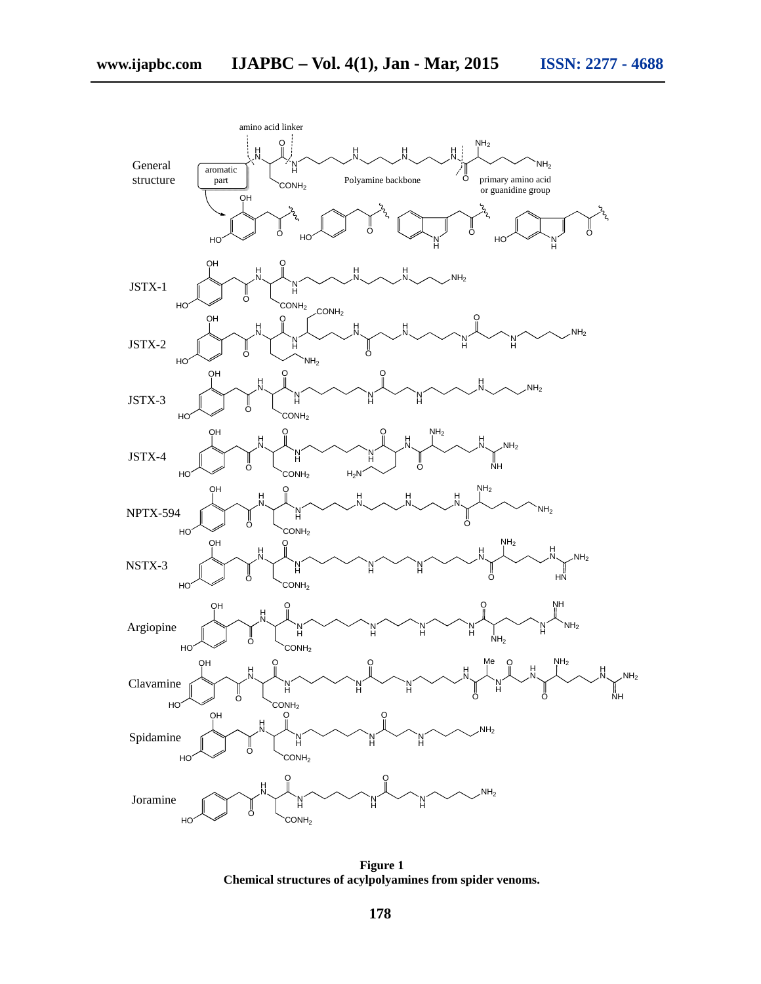

**Figure 1 Chemical structures of acylpolyamines from spider venoms.**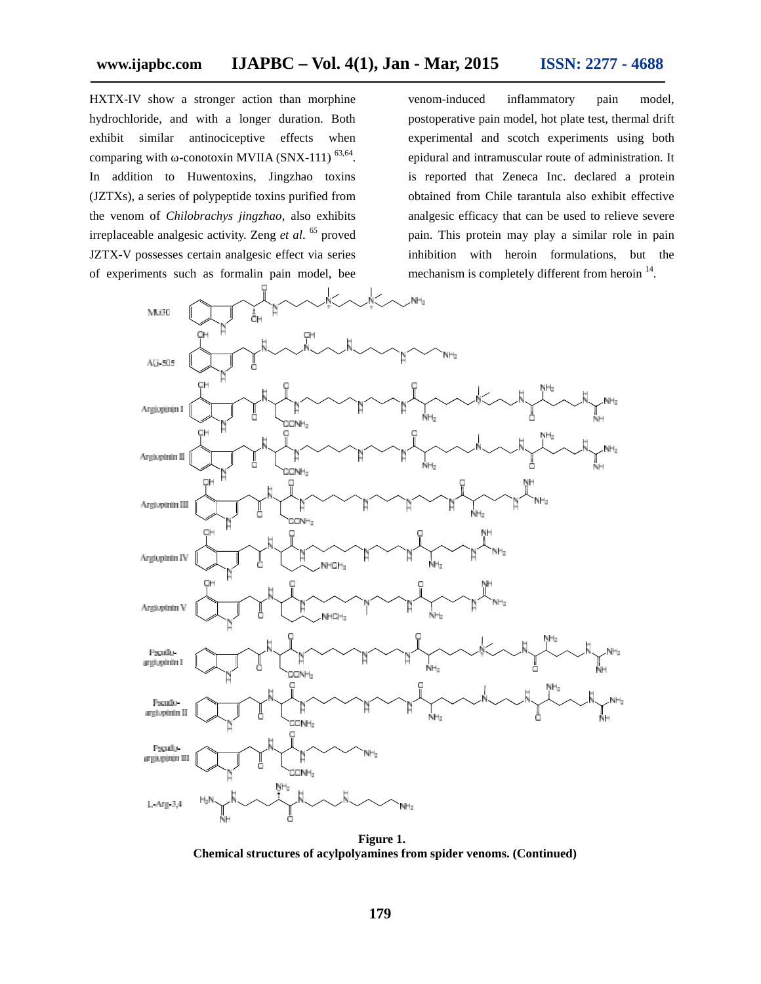HXTX-IV show a stronger action than morphine hydrochloride, and with a longer duration. Both exhibit similar antinociceptive effects when comparing with  $\sim$ conotoxin MVIIA (SNX-111)  $^{63,64}$ . In addition to Huwentoxins, Jingzhao toxins (JZTXs), a series of polypeptide toxins purified from the venom of *Chilobrachys jingzhao*, also exhibits irreplaceable analgesic activity. Zeng *et al*. <sup>65</sup> proved JZTX-V possesses certain analgesic effect via series of experiments such as formalin pain model, bee

venom-induced inflammatory pain model, postoperative pain model, hot plate test, thermal drift experimental and scotch experiments using both epidural and intramuscular route of administration. It is reported that Zeneca Inc. declared a protein obtained from Chile tarantula also exhibit effective analgesic efficacy that can be used to relieve severe pain. This protein may play a similar role in pain inhibition with heroin formulations, but the mechanism is completely different from heroin <sup>14</sup>.



**Figure 1. Chemical structures of acylpolyamines from spider venoms. (Continued)**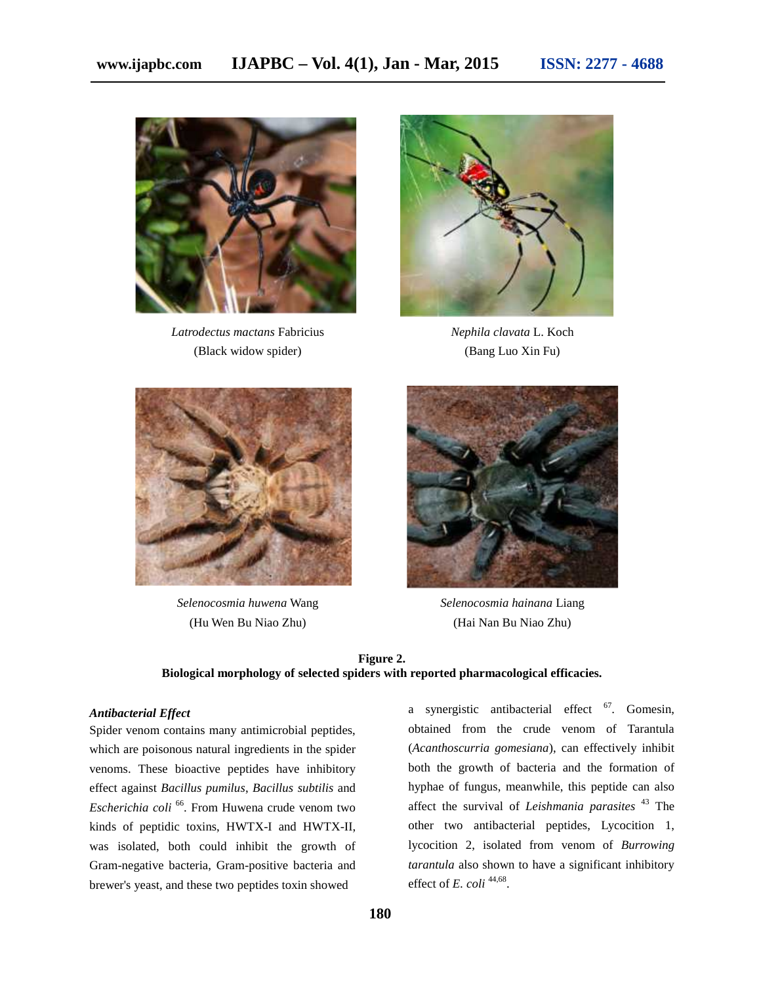

*Latrodectus mactans* Fabricius (Black widow spider)



*Nephila clavata* L. Koch (Bang Luo Xin Fu)



*Selenocosmia huwena* Wang (Hu Wen Bu Niao Zhu)



*Selenocosmia hainana* Liang (Hai Nan Bu Niao Zhu)

### **Figure 2. Biological morphology of selected spiders with reported pharmacological efficacies.**

#### *Antibacterial Effect*

Spider venom contains many antimicrobial peptides, which are poisonous natural ingredients in the spider venoms. These bioactive peptides have inhibitory effect against *Bacillus pumilus*, *Bacillus subtilis* and *Escherichia coli* <sup>66</sup>. From Huwena crude venom two kinds of peptidic toxins, HWTX-I and HWTX-II, was isolated, both could inhibit the growth of Gram-negative bacteria, Gram-positive bacteria and brewer's yeast, and these two peptides toxin showed

a synergistic antibacterial effect <sup>67</sup>. Gomesin, obtained from the crude venom of Tarantula (*Acanthoscurria gomesiana*), can effectively inhibit both the growth of bacteria and the formation of hyphae of fungus, meanwhile, this peptide can also affect the survival of *Leishmania parasites* <sup>43</sup> The other two antibacterial peptides, Lycocition 1, lycocition 2, isolated from venom of *Burrowing tarantula* also shown to have a significant inhibitory effect of  $E.$  *coli*  $^{44,68}$ .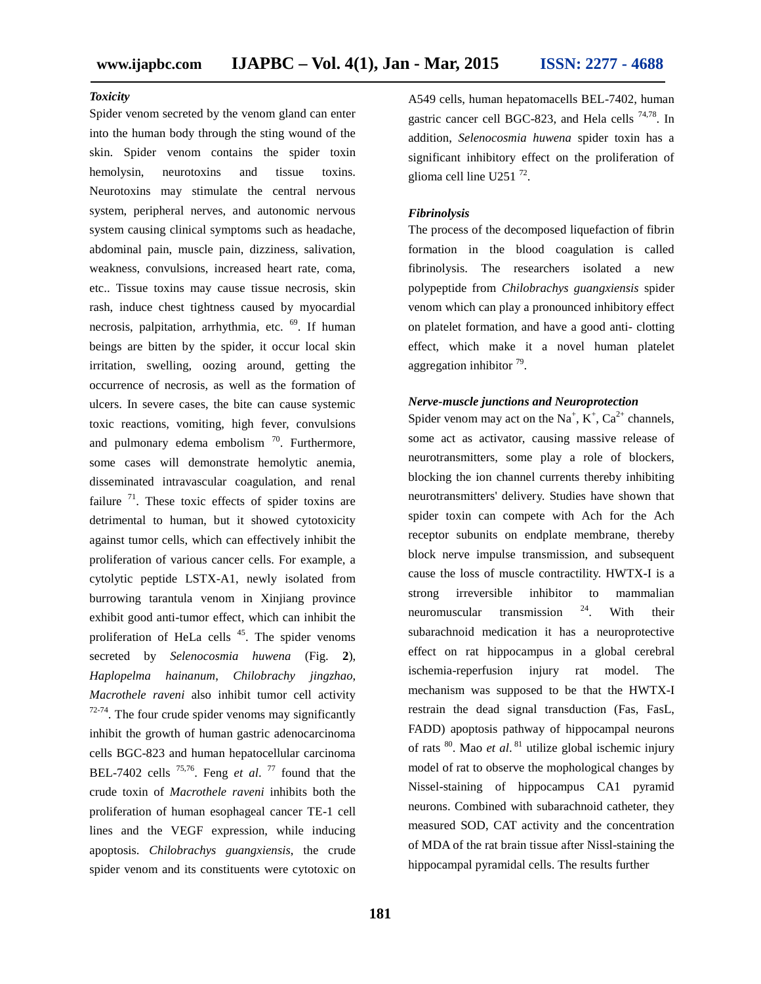#### *Toxicity*

Spider venom secreted by the venom gland can enter into the human body through the sting wound of the skin. Spider venom contains the spider toxin hemolysin, neurotoxins and tissue toxins. Neurotoxins may stimulate the central nervous system, peripheral nerves, and autonomic nervous system causing clinical symptoms such as headache, abdominal pain, muscle pain, dizziness, salivation, weakness, convulsions, increased heart rate, coma, etc.. Tissue toxins may cause tissue necrosis, skin rash, induce chest tightness caused by myocardial necrosis, palpitation, arrhythmia, etc. <sup>69</sup>. If human beings are bitten by the spider, it occur local skin irritation, swelling, oozing around, getting the occurrence of necrosis, as well as the formation of ulcers. In severe cases, the bite can cause systemic toxic reactions, vomiting, high fever, convulsions and pulmonary edema embolism  $\frac{70}{2}$ . Furthermore, some cases will demonstrate hemolytic anemia, disseminated intravascular coagulation, and renal failure  $71$ . These toxic effects of spider toxins are detrimental to human, but it showed cytotoxicity against tumor cells, which can effectively inhibit the proliferation of various cancer cells. For example, a cytolytic peptide LSTX-A1, newly isolated from burrowing tarantula venom in Xinjiang province exhibit good anti-tumor effect, which can inhibit the proliferation of HeLa cells  $45$ . The spider venoms secreted by *Selenocosmia huwena* (Fig. **2**), *Haplopelma hainanum*, *Chilobrachy jingzhao*, *Macrothele raveni* also inhibit tumor cell activity  $72-74$ . The four crude spider venoms may significantly inhibit the growth of human gastric adenocarcinoma cells BGC-823 and human hepatocellular carcinoma BEL-7402 cells  $^{75,76}$ . Feng *et al.*  $^{77}$  found that the crude toxin of *Macrothele raveni* inhibits both the proliferation of human esophageal cancer TE-1 cell lines and the VEGF expression, while inducing apoptosis. *Chilobrachys guangxiensis*, the crude spider venom and its constituents were cytotoxic on

A549 cells, human hepatomacells BEL-7402, human gastric cancer cell BGC-823, and Hela cells 74,78. In addition, *Selenocosmia huwena* spider toxin has a significant inhibitory effect on the proliferation of glioma cell line  $U251$ <sup>72</sup>.

#### *Fibrinolysis*

The process of the decomposed liquefaction of fibrin formation in the blood coagulation is called fibrinolysis. The researchers isolated a new polypeptide from *Chilobrachys guangxiensis* spider venom which can play a pronounced inhibitory effect on platelet formation, and have a good anti- clotting effect, which make it a novel human platelet aggregation inhibitor <sup>79</sup>.

#### *Nerve-muscle junctions and Neuroprotection*

Spider venom may act on the Na<sup>+</sup>, K<sup>+</sup>, Ca<sup>2+</sup> channels, some act as activator, causing massive release of neurotransmitters, some play a role of blockers, blocking the ion channel currents thereby inhibiting neurotransmitters' delivery. Studies have shown that spider toxin can compete with Ach for the Ach receptor subunits on endplate membrane, thereby block nerve impulse transmission, and subsequent cause the loss of muscle contractility. HWTX-I is a strong irreversible inhibitor to mammalian neuromuscular transmission  $24$ . With their subarachnoid medication it has a neuroprotective effect on rat hippocampus in a global cerebral ischemia-reperfusion injury rat model. The mechanism was supposed to be that the HWTX-I restrain the dead signal transduction (Fas, FasL, FADD) apoptosis pathway of hippocampal neurons of rats <sup>80</sup> . Mao *et al*. <sup>81</sup> utilize global ischemic injury model of rat to observe the mophological changes by Nissel-staining of hippocampus CA1 pyramid neurons. Combined with subarachnoid catheter, they measured SOD, CAT activity and the concentration of MDA of the rat brain tissue after Nissl-staining the hippocampal pyramidal cells. The results further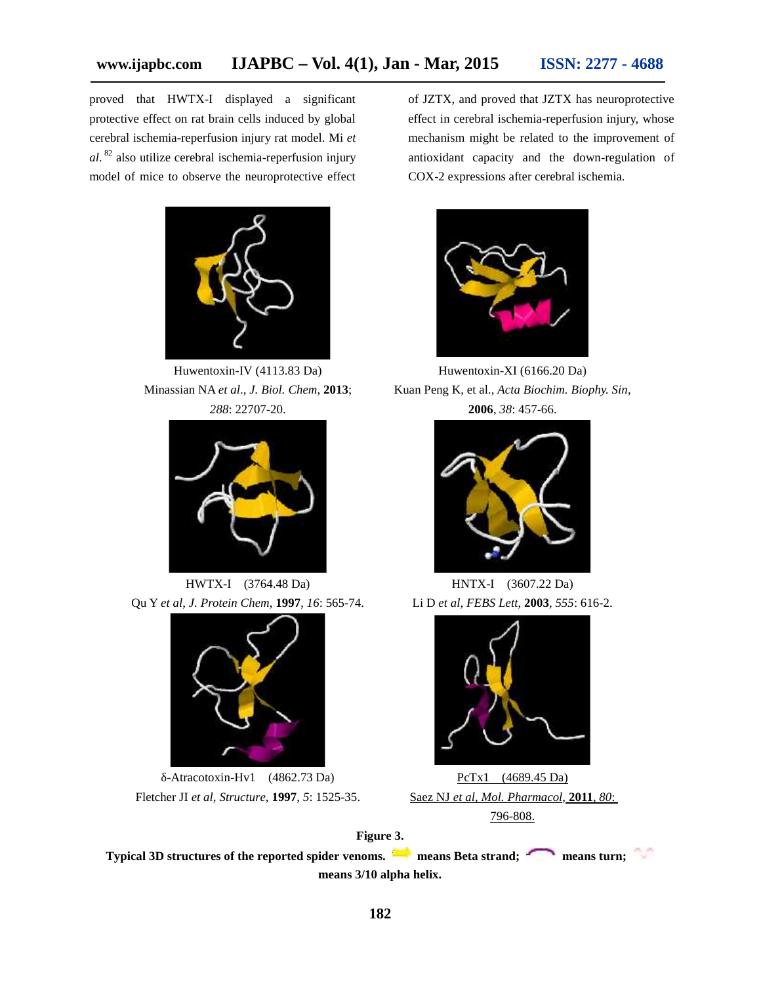proved that HWTX-I displayed a significant protective effect on rat brain cells induced by global cerebral ischemia-reperfusion injury rat model. Mi *et al*. <sup>82</sup> also utilize cerebral ischemia-reperfusion injury model of mice to observe the neuroprotective effect



Huwentoxin-IV (4113.83 Da) Minassian NA *et al*., *J. Biol. Chem*, **2013**; *288*: 22707-20.



HWTX-I (3764.48 Da) Qu Y *et al*, *J. Protein Chem*, **1997**, *16*: 565-74.



-Atracotoxin-Hv1 (4862.73 Da) Fletcher JI *et al*, *Structure*, **1997**, *5*: 1525-35.

of JZTX, and proved that JZTX has neuroprotective effect in cerebral ischemia-reperfusion injury, whose mechanism might be related to the improvement of antioxidant capacity and the down-regulation of COX-2 expressions after cerebral ischemia.



Huwentoxin-XI (6166.20 Da) Kuan Peng K, et al., *Acta Biochim. Biophy. Sin*, **2006**, *38*: 457-66.



HNTX-I (3607.22 Da) Li D *et al*, *FEBS Lett*, **2003**, *555*: 616-2.



PcTx1 (4689.45 Da) Saez NJ *et al*, *Mol. Pharmacol*, **2011**, *80*: 796-808.

**Figure 3. Typical 3D structures of the reported spider venoms. means Beta strand; means turn; means 3/10 alpha helix.**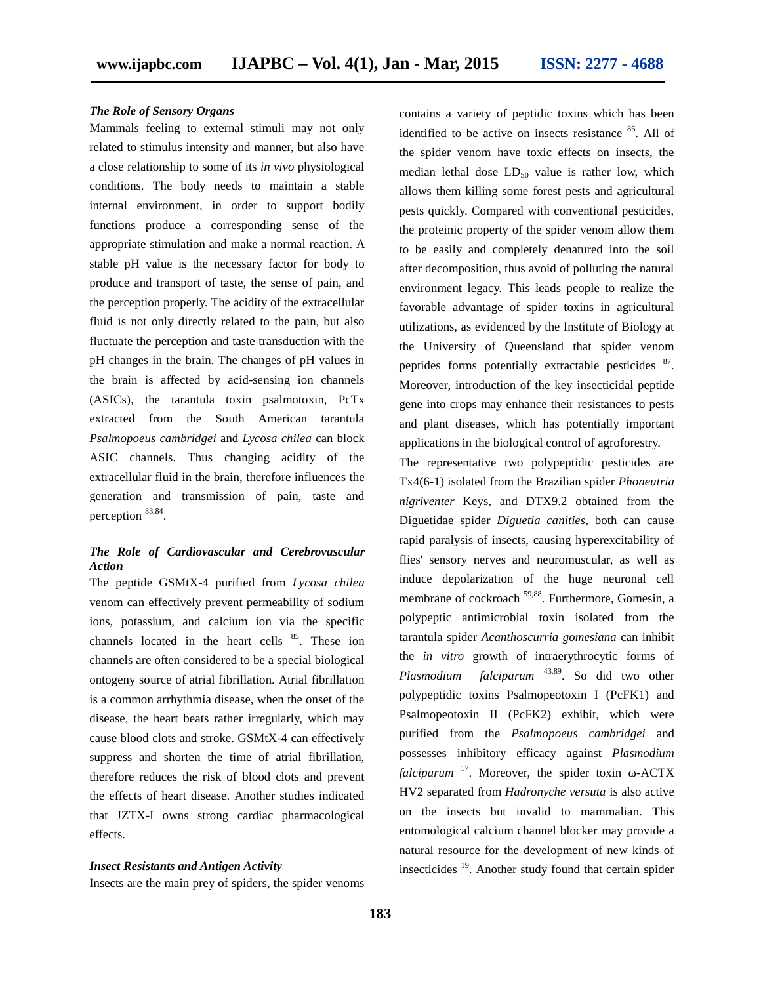#### *The Role of Sensory Organs*

Mammals feeling to external stimuli may not only related to stimulus intensity and manner, but also have a close relationship to some of its *in vivo* physiological conditions. The body needs to maintain a stable internal environment, in order to support bodily functions produce a corresponding sense of the appropriate stimulation and make a normal reaction. A stable pH value is the necessary factor for body to produce and transport of taste, the sense of pain, and the perception properly. The acidity of the extracellular fluid is not only directly related to the pain, but also fluctuate the perception and taste transduction with the pH changes in the brain. The changes of pH values in the brain is affected by acid-sensing ion channels (ASICs), the tarantula toxin psalmotoxin, PcTx extracted from the South American tarantula *Psalmopoeus cambridgei* and *Lycosa chilea* can block ASIC channels. Thus changing acidity of the extracellular fluid in the brain, therefore influences the generation and transmission of pain, taste and perception  $83,84$ .

#### *The Role of Cardiovascular and Cerebrovascular Action*

The peptide GSMtX-4 purified from *Lycosa chilea* venom can effectively prevent permeability of sodium ions, potassium, and calcium ion via the specific channels located in the heart cells  $85$ . These ion channels are often considered to be a special biological ontogeny source of atrial fibrillation. Atrial fibrillation is a common arrhythmia disease, when the onset of the disease, the heart beats rather irregularly, which may cause blood clots and stroke. GSMtX-4 can effectively suppress and shorten the time of atrial fibrillation, therefore reduces the risk of blood clots and prevent the effects of heart disease. Another studies indicated that JZTX-I owns strong cardiac pharmacological effects.

#### *Insect Resistants and Antigen Activity*

Insects are the main prey of spiders, the spider venoms

contains a variety of peptidic toxins which has been identified to be active on insects resistance <sup>86</sup>. All of the spider venom have toxic effects on insects, the median lethal dose  $LD_{50}$  value is rather low, which allows them killing some forest pests and agricultural pests quickly. Compared with conventional pesticides, the proteinic property of the spider venom allow them to be easily and completely denatured into the soil after decomposition, thus avoid of polluting the natural environment legacy. This leads people to realize the favorable advantage of spider toxins in agricultural utilizations, as evidenced by the Institute of Biology at the University of Queensland that spider venom peptides forms potentially extractable pesticides <sup>87</sup>. Moreover, introduction of the key insecticidal peptide gene into crops may enhance their resistances to pests and plant diseases, which has potentially important applications in the biological control of agroforestry.

The representative two polypeptidic pesticides are Tx4(6-1) isolated from the Brazilian spider *Phoneutria nigriventer* Keys, and DTX9.2 obtained from the Diguetidae spider *Diguetia canities*, both can cause rapid paralysis of insects, causing hyperexcitability of flies' sensory nerves and neuromuscular, as well as induce depolarization of the huge neuronal cell membrane of cockroach <sup>59,88</sup>. Furthermore, Gomesin, a polypeptic antimicrobial toxin isolated from the tarantula spider *Acanthoscurria gomesiana* can inhibit the *in vitro* growth of intraerythrocytic forms of *Plasmodium falciparum* 43,89. So did two other polypeptidic toxins Psalmopeotoxin I (PcFK1) and Psalmopeotoxin II (PcFK2) exhibit, which were purified from the *Psalmopoeus cambridgei* and possesses inhibitory efficacy against *Plasmodium* falciparum<sup>17</sup>. Moreover, the spider toxin -ACTX HV2 separated from *Hadronyche versuta* is also active on the insects but invalid to mammalian. This entomological calcium channel blocker may provide a natural resource for the development of new kinds of insecticides <sup>19</sup>. Another study found that certain spider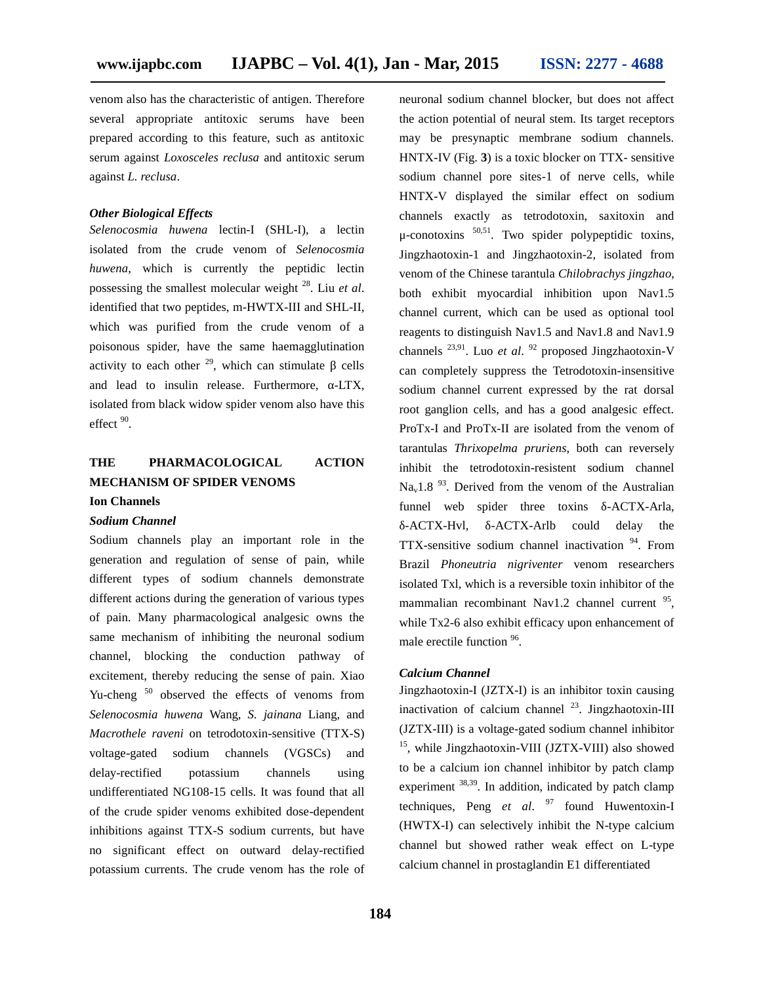venom also has the characteristic of antigen. Therefore several appropriate antitoxic serums have been prepared according to this feature, such as antitoxic serum against *Loxosceles reclusa* and antitoxic serum against *L. reclusa*.

#### *Other Biological Effects*

*Selenocosmia huwena* lectin-I (SHL-I), a lectin isolated from the crude venom of *Selenocosmia huwena*, which is currently the peptidic lectin possessing the smallest molecular weight <sup>28</sup>. Liu *et al*. identified that two peptides, m-HWTX-III and SHL-II, which was purified from the crude venom of a poisonous spider, have the same haemagglutination activity to each other  $29$ , which can stimulate cells and lead to insulin release. Furthermore, -LTX, isolated from black widow spider venom also have this effect  $90$ .

# **THE PHARMACOLOGICAL ACTION MECHANISM OF SPIDER VENOMS**

**Ion Channels**

#### *Sodium Channel*

Sodium channels play an important role in the generation and regulation of sense of pain, while different types of sodium channels demonstrate different actions during the generation of various types of pain. Many pharmacological analgesic owns the same mechanism of inhibiting the neuronal sodium channel, blocking the conduction pathway of excitement, thereby reducing the sense of pain. Xiao Yu-cheng<sup>50</sup> observed the effects of venoms from *Selenocosmia huwena* Wang, *S. jainana* Liang, and *Macrothele raveni* on tetrodotoxin-sensitive (TTX-S) voltage-gated sodium channels (VGSCs) and delay-rectified potassium channels using undifferentiated NG108-15 cells. It was found that all of the crude spider venoms exhibited dose-dependent inhibitions against TTX-S sodium currents, but have no significant effect on outward delay-rectified potassium currents. The crude venom has the role of neuronal sodium channel blocker, but does not affect the action potential of neural stem. Its target receptors may be presynaptic membrane sodium channels. HNTX-IV (Fig. **3**) is a toxic blocker on TTX- sensitive sodium channel pore sites-1 of nerve cells, while HNTX-V displayed the similar effect on sodium channels exactly as tetrodotoxin, saxitoxin and μ-conotoxins 50,51 . Two spider polypeptidic toxins, Jingzhaotoxin-1 and Jingzhaotoxin-2, isolated from venom of the Chinese tarantula *Chilobrachys jingzhao*, both exhibit myocardial inhibition upon Nav1.5 channel current, which can be used as optional tool reagents to distinguish Nav1.5 and Nav1.8 and Nav1.9 channels  $^{23,91}$ . Luo *et al.* <sup>92</sup> proposed Jingzhaotoxin-V can completely suppress the Tetrodotoxin-insensitive sodium channel current expressed by the rat dorsal root ganglion cells, and has a good analgesic effect. ProTx-I and ProTx-II are isolated from the venom of tarantulas *Thrixopelma pruriens*, both can reversely inhibit the tetrodotoxin-resistent sodium channel  $Na<sub>v</sub>1.8<sup>93</sup>$ . Derived from the venom of the Australian funnel web spider three toxins -ACTX-Arla, -ACTX-Hvl, -ACTX-Arlb could delay the TTX-sensitive sodium channel inactivation <sup>94</sup>. From Brazil *Phoneutria nigriventer* venom researchers isolated Txl, which is a reversible toxin inhibitor of the mammalian recombinant Nav1.2 channel current <sup>95</sup>, while Tx2-6 also exhibit efficacy upon enhancement of male erectile function <sup>96</sup>.

#### *Calcium Channel*

Jingzhaotoxin-I (JZTX-I) is an inhibitor toxin causing inactivation of calcium channel  $^{23}$ . Jingzhaotoxin-III (JZTX-III) is a voltage-gated sodium channel inhibitor <sup>15</sup>, while Jingzhaotoxin-VIII (JZTX-VIII) also showed to be a calcium ion channel inhibitor by patch clamp experiment  $38,39$ . In addition, indicated by patch clamp techniques, Peng *et al.*  $97$  found Huwentoxin-I (HWTX-I) can selectively inhibit the N-type calcium channel but showed rather weak effect on L-type calcium channel in prostaglandin E1 differentiated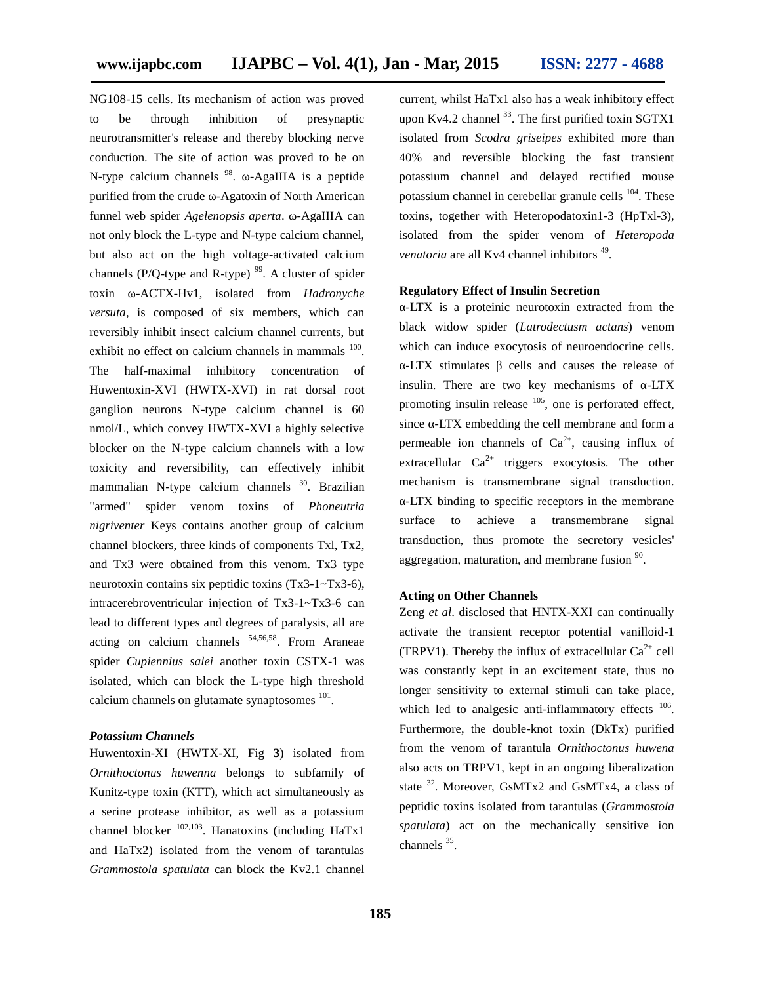NG108-15 cells. Its mechanism of action was proved to be through inhibition of presynaptic neurotransmitter's release and thereby blocking nerve conduction. The site of action was proved to be on N-type calcium channels <sup>98</sup>. -AgaIIIA is a peptide p purified from the crude -Agatoxin of North American funnel web spider *Agelenopsis aperta*. -AgaIIIA can not only block the L-type and N-type calcium channel, but also act on the high voltage-activated calcium channels (P/Q-type and R-type)  $99$ . A cluster of spider toxin ω-ACTX-Hv1, isolated from *Hadronyche versuta*, is composed of six members, which can reversibly inhibit insect calcium channel currents, but exhibit no effect on calcium channels in mammals <sup>100</sup>. The half-maximal inhibitory concentration of Huwentoxin-XVI (HWTX-XVI) in rat dorsal root ganglion neurons N-type calcium channel is 60 nmol/L, which convey HWTX-XVI a highly selective blocker on the N-type calcium channels with a low toxicity and reversibility, can effectively inhibit mammalian N-type calcium channels <sup>30</sup>. Brazilian "armed" spider venom toxins of *Phoneutria nigriventer* Keys contains another group of calcium channel blockers, three kinds of components Txl, Tx2, and Tx3 were obtained from this venom. Tx3 type neurotoxin contains six peptidic toxins (Tx3-1~Tx3-6), intracerebroventricular injection of Tx3-1~Tx3-6 can lead to different types and degrees of paralysis, all are acting on calcium channels  $54,56,58$ . From Araneae spider *Cupiennius salei* another toxin CSTX-1 was isolated, which can block the L-type high threshold calcium channels on glutamate synaptosomes  $^{101}$ .

#### *Potassium Channels*

Huwentoxin-XI (HWTX-XI, Fig **3**) isolated from *Ornithoctonus huwenna* belongs to subfamily of Kunitz-type toxin (KTT), which act simultaneously as a serine protease inhibitor, as well as a potassium channel blocker  $^{102,103}$ . Hanatoxins (including HaTx1  $^{sp}$ and HaTx2) isolated from the venom of tarantulas *Grammostola spatulata* can block the Kv2.1 channel

current, whilst HaTx1 also has a weak inhibitory effect upon Kv4.2 channel <sup>33</sup>. The first purified toxin SGTX1 isolated from *Scodra griseipes* exhibited more than 40% and reversible blocking the fast transient potassium channel and delayed rectified mouse potassium channel in cerebellar granule cells <sup>104</sup>. These toxins, together with Heteropodatoxin1-3 (HpTxl-3), isolated from the spider venom of *Heteropoda* venatoria are all Kv4 channel inhibitors<sup>49</sup>.

#### **Regulatory Effect of Insulin Secretion**

-LTX is a proteinic neurotoxin extracted from the black widow spider (*Latrodectusm actans*) venom which can induce exocytosis of neuroendocrine cells. -LTX stimulates cells and causes the release of insulin. There are two key mechanisms of -LTX promoting insulin release  $105$ , one is perforated effect, since -LTX embedding the cell membrane and form a permeable ion channels of  $Ca^{2+}$ , causing influx of extracellular  $Ca^{2+}$  triggers exocytosis. The other mechanism is transmembrane signal transduction. -LTX binding to specific receptors in the membrane surface to achieve a transmembrane signal transduction, thus promote the secretory vesicles' aggregation, maturation, and membrane fusion <sup>90</sup>.

#### **Acting on Other Channels**

Zeng *et al*. disclosed that HNTX-XXI can continually activate the transient receptor potential vanilloid-1 (TRPV1). Thereby the influx of extracellular  $Ca^{2+}$  cell was constantly kept in an excitement state, thus no longer sensitivity to external stimuli can take place, which led to analgesic anti-inflammatory effects <sup>106</sup>. Furthermore, the double-knot toxin (DkTx) purified from the venom of tarantula *Ornithoctonus huwena* also acts on TRPV1, kept in an ongoing liberalization state <sup>32</sup>. Moreover, GsMTx2 and GsMTx4, a class of peptidic toxins isolated from tarantulas (*Grammostola spatulata*) act on the mechanically sensitive ion channels <sup>35</sup>.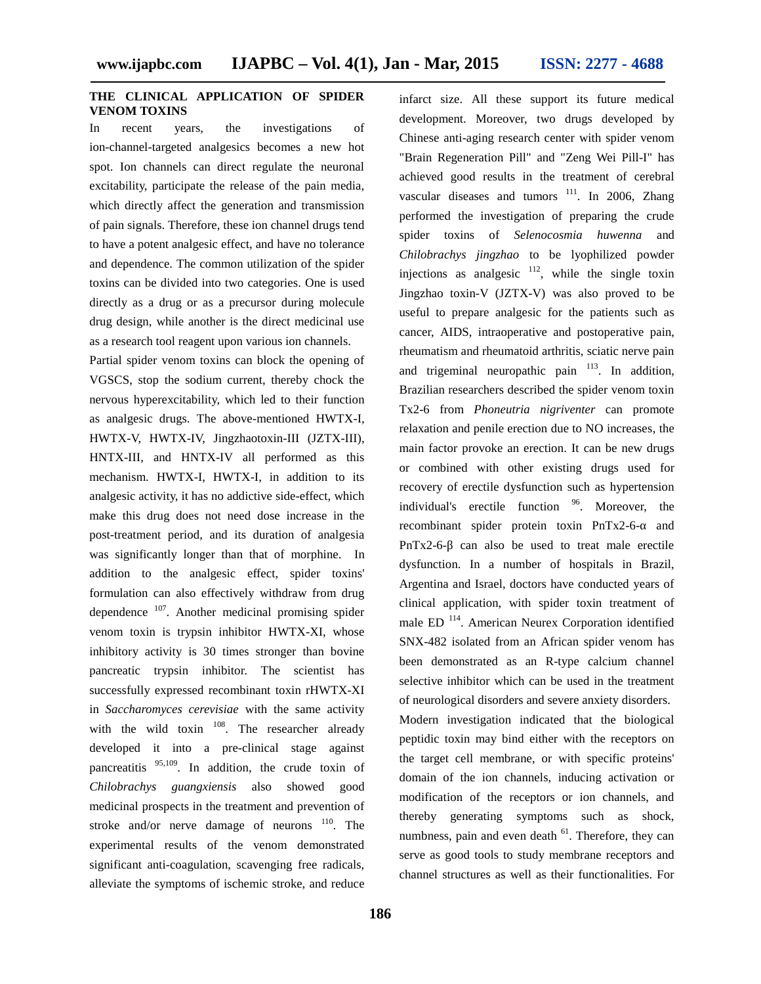### **THE CLINICAL APPLICATION OF SPIDER VENOM TOXINS**

In recent years, the investigations of ion-channel-targeted analgesics becomes a new hot spot. Ion channels can direct regulate the neuronal excitability, participate the release of the pain media, which directly affect the generation and transmission of pain signals. Therefore, these ion channel drugs tend to have a potent analgesic effect, and have no tolerance and dependence. The common utilization of the spider toxins can be divided into two categories. One is used directly as a drug or as a precursor during molecule drug design, while another is the direct medicinal use as a research tool reagent upon various ion channels.

Partial spider venom toxins can block the opening of VGSCS, stop the sodium current, thereby chock the nervous hyperexcitability, which led to their function as analgesic drugs. The above-mentioned HWTX-I, HWTX-V, HWTX-IV, Jingzhaotoxin-III (JZTX-III), HNTX-III, and HNTX-IV all performed as this mechanism. HWTX-I, HWTX-I, in addition to its analgesic activity, it has no addictive side-effect, which make this drug does not need dose increase in the post-treatment period, and its duration of analgesia was significantly longer than that of morphine. In addition to the analgesic effect, spider toxins' formulation can also effectively withdraw from drug dependence  $107$ . Another medicinal promising spider venom toxin is trypsin inhibitor HWTX-XI, whose inhibitory activity is 30 times stronger than bovine pancreatic trypsin inhibitor. The scientist has successfully expressed recombinant toxin rHWTX-XI in *Saccharomyces cerevisiae* with the same activity with the wild toxin  $108$ . The researcher already developed it into a pre-clinical stage against pancreatitis <sup>95,109</sup>. In addition, the crude toxin of *Chilobrachys guangxiensis* also showed good medicinal prospects in the treatment and prevention of stroke and/or nerve damage of neurons <sup>110</sup>. The experimental results of the venom demonstrated significant anti-coagulation, scavenging free radicals, alleviate the symptoms of ischemic stroke, and reduce

infarct size. All these support its future medical development. Moreover, two drugs developed by Chinese anti-aging research center with spider venom "Brain Regeneration Pill" and "Zeng Wei Pill-I" has achieved good results in the treatment of cerebral vascular diseases and tumors  $\frac{111}{11}$ . In 2006, Zhang performed the investigation of preparing the crude spider toxins of *Selenocosmia huwenna* and *Chilobrachys jingzhao* to be lyophilized powder injections as analgesic  $112$ , while the single toxin Jingzhao toxin-V (JZTX-V) was also proved to be useful to prepare analgesic for the patients such as cancer, AIDS, intraoperative and postoperative pain, rheumatism and rheumatoid arthritis, sciatic nerve pain and trigeminal neuropathic pain <sup>113</sup>. In addition, Brazilian researchers described the spider venom toxin Tx2-6 from *Phoneutria nigriventer* can promote relaxation and penile erection due to NO increases, the main factor provoke an erection. It can be new drugs or combined with other existing drugs used for recovery of erectile dysfunction such as hypertension individual's erectile function <sup>96</sup>. Moreover, the recombinant spider protein toxin PnTx2-6- and PnTx2-6- can also be used to treat male erectile dysfunction. In a number of hospitals in Brazil, Argentina and Israel, doctors have conducted years of clinical application, with spider toxin treatment of male ED<sup>114</sup>. American Neurex Corporation identified SNX-482 isolated from an African spider venom has been demonstrated as an R-type calcium channel selective inhibitor which can be used in the treatment of neurological disorders and severe anxiety disorders. Modern investigation indicated that the biological peptidic toxin may bind either with the receptors on the target cell membrane, or with specific proteins' domain of the ion channels, inducing activation or modification of the receptors or ion channels, and thereby generating symptoms such as shock, numbness, pain and even death  $61$ . Therefore, they can serve as good tools to study membrane receptors and channel structures as well as their functionalities. For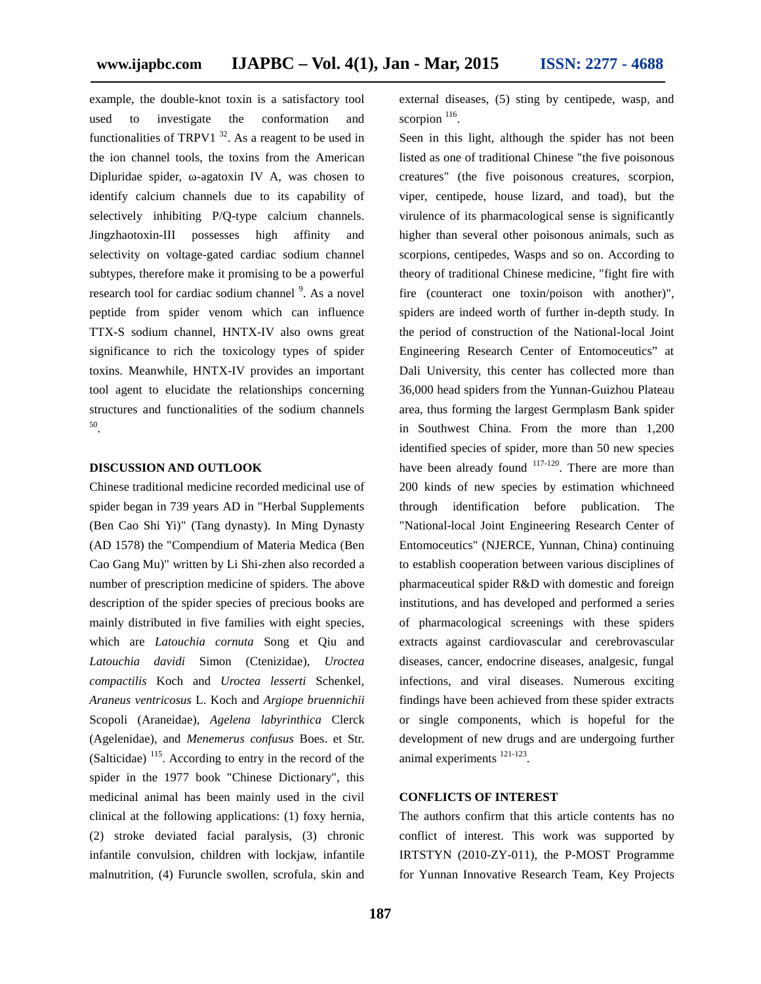example, the double-knot toxin is a satisfactory tool used to investigate the conformation and functionalities of TRPV1  $^{32}$ . As a reagent to be used in the ion channel tools, the toxins from the American Dipluridae spider, -agatoxin IV A, was chosen to identify calcium channels due to its capability of selectively inhibiting P/Q-type calcium channels. Jingzhaotoxin-III possesses high affinity and selectivity on voltage-gated cardiac sodium channel subtypes, therefore make it promising to be a powerful research tool for cardiac sodium channel <sup>9</sup>. As a novel peptide from spider venom which can influence TTX-S sodium channel, HNTX-IV also owns great significance to rich the toxicology types of spider toxins. Meanwhile, HNTX-IV provides an important tool agent to elucidate the relationships concerning structures and functionalities of the sodium channels 50 .

#### **DISCUSSION AND OUTLOOK**

Chinese traditional medicine recorded medicinal use of spider began in 739 years AD in "Herbal Supplements (Ben Cao Shi Yi)" (Tang dynasty). In Ming Dynasty (AD 1578) the "Compendium of Materia Medica (Ben Cao Gang Mu)" written by Li Shi-zhen also recorded a number of prescription medicine of spiders. The above description of the spider species of precious books are mainly distributed in five families with eight species, which are *Latouchia cornuta* Song et Qiu and *Latouchia davidi* Simon (Ctenizidae), *Uroctea compactilis* Koch and *Uroctea lesserti* Schenkel, *Araneus ventricosus* L. Koch and *Argiope bruennichii* Scopoli (Araneidae), *Agelena labyrinthica* Clerck (Agelenidae), and *Menemerus confusus* Boes. et Str. (Salticidae)  $115$ . According to entry in the record of the  $\qquad a$ spider in the 1977 book "Chinese Dictionary", this medicinal animal has been mainly used in the civil clinical at the following applications: (1) foxy hernia, (2) stroke deviated facial paralysis, (3) chronic infantile convulsion, children with lockjaw, infantile malnutrition, (4) Furuncle swollen, scrofula, skin and

external diseases, (5) sting by centipede, wasp, and scorpion  $116$ . .

Seen in this light, although the spider has not been listed as one of traditional Chinese "the five poisonous creatures" (the five poisonous creatures, scorpion, viper, centipede, house lizard, and toad), but the virulence of its pharmacological sense is significantly higher than several other poisonous animals, such as scorpions, centipedes, Wasps and so on. According to theory of traditional Chinese medicine, "fight fire with fire (counteract one toxin/poison with another)", spiders are indeed worth of further in-depth study. In the period of construction of the National-local Joint Engineering Research Center of Entomoceutics" at Dali University, this center has collected more than 36,000 head spiders from the Yunnan-Guizhou Plateau area, thus forming the largest Germplasm Bank spider in Southwest China. From the more than 1,200 identified species of spider, more than 50 new species have been already found  $117-120$ . There are more than 200 kinds of new species by estimation whichneed through identification before publication. The "National-local Joint Engineering Research Center of Entomoceutics" (NJERCE, Yunnan, China) continuing to establish cooperation between various disciplines of pharmaceutical spider R&D with domestic and foreign institutions, and has developed and performed a series of pharmacological screenings with these spiders extracts against cardiovascular and cerebrovascular diseases, cancer, endocrine diseases, analgesic, fungal infections, and viral diseases. Numerous exciting findings have been achieved from these spider extracts or single components, which is hopeful for the development of new drugs and are undergoing further animal experiments <sup>121-123</sup>. .

#### **CONFLICTS OF INTEREST**

The authors confirm that this article contents has no conflict of interest. This work was supported by IRTSTYN (2010-ZY-011), the P-MOST Programme for Yunnan Innovative Research Team, Key Projects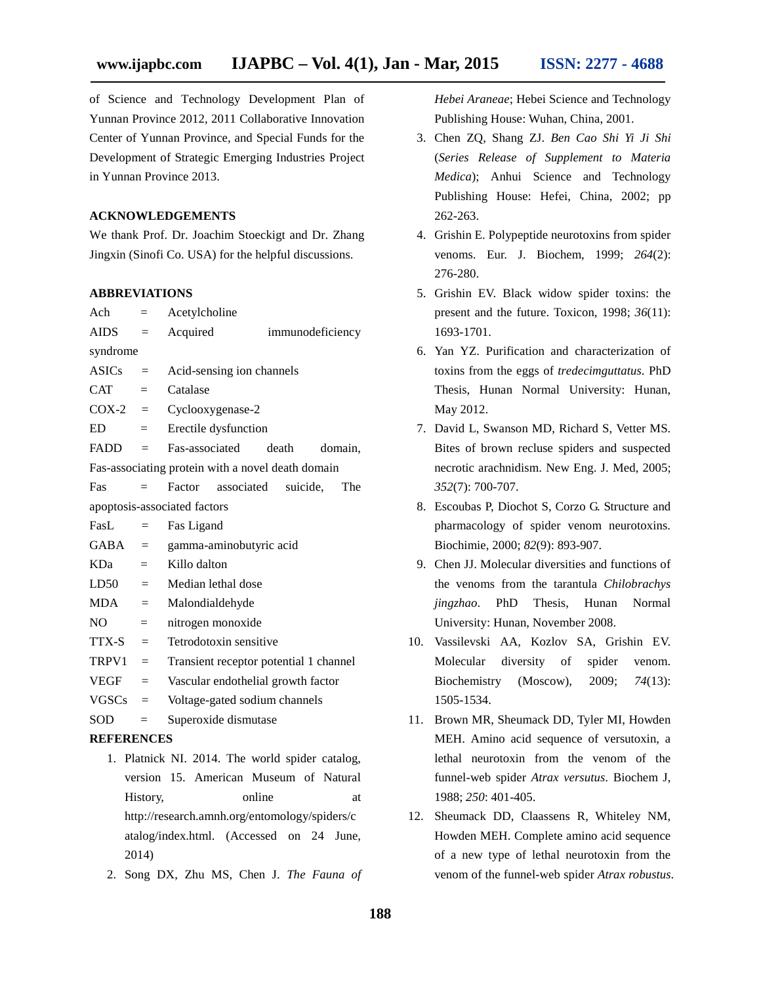of Science and Technology Development Plan of Yunnan Province 2012, 2011 Collaborative Innovation Center of Yunnan Province, and Special Funds for the Development of Strategic Emerging Industries Project in Yunnan Province 2013.

#### **ACKNOWLEDGEMENTS**

We thank Prof. Dr. Joachim Stoeckigt and Dr. Zhang Jingxin (Sinofi Co. USA) for the helpful discussions.

#### **ABBREVIATIONS**

| Ach                                               | $=$          | Acetylcholine                                   |                  |     |  |  |
|---------------------------------------------------|--------------|-------------------------------------------------|------------------|-----|--|--|
| AIDS                                              | $=$          | Acquired                                        | immunodeficiency |     |  |  |
| syndrome                                          |              |                                                 |                  |     |  |  |
| ASICs                                             | $=$          | Acid-sensing ion channels                       |                  |     |  |  |
| <b>CAT</b>                                        | $=$ $-$      | Catalase                                        |                  |     |  |  |
|                                                   |              | $COX-2 = Cyclooxygenase-2$                      |                  |     |  |  |
| ED                                                | $=$          | Erectile dysfunction                            |                  |     |  |  |
| $FADD =$                                          |              | Fas-associated                                  | death<br>domain. |     |  |  |
| Fas-associating protein with a novel death domain |              |                                                 |                  |     |  |  |
| Fas                                               | $=$          | Factor associated suicide,                      |                  | The |  |  |
|                                                   |              | apoptosis-associated factors                    |                  |     |  |  |
| Fast.                                             | $=$          | Fas Ligand                                      |                  |     |  |  |
|                                                   |              | $GABA = gamma-aminobutyric acid$                |                  |     |  |  |
| KDa                                               | $=$          | Killo dalton                                    |                  |     |  |  |
| $LD50 =$                                          |              | Median lethal dose                              |                  |     |  |  |
| $MDA =$                                           |              | Malondialdehyde                                 |                  |     |  |  |
| NO -                                              | $\alpha = 1$ | nitrogen monoxide                               |                  |     |  |  |
| $TTX-S =$                                         |              | Tetrodotoxin sensitive                          |                  |     |  |  |
| $TRPV1 =$                                         |              | Transient receptor potential 1 channel          |                  |     |  |  |
| VEGF                                              | $=$          | Vascular endothelial growth factor              |                  |     |  |  |
| $VGSCs =$                                         |              | Voltage-gated sodium channels                   |                  |     |  |  |
| SOD                                               | $=$          | Superoxide dismutase                            |                  |     |  |  |
| <b>REFERENCES</b>                                 |              |                                                 |                  |     |  |  |
|                                                   |              | 1. Platnick NI. 2014. The world spider catalog, |                  |     |  |  |

- version 15. American Museum of Natural History, online at http://research.amnh.org/entomology/spiders/c atalog/index.html. (Accessed on 24 June, 2014)
- 2. Song DX, Zhu MS, Chen J. *The Fauna of*

*Hebei Araneae*; Hebei Science and Technology Publishing House: Wuhan, China, 2001.

- 3. Chen ZQ, Shang ZJ. *Ben Cao Shi Yi Ji Shi* (*Series Release of Supplement to Materia Medica*); Anhui Science and Technology Publishing House: Hefei, China, 2002; pp 262-263.
- 4. Grishin E. Polypeptide neurotoxins from spider venoms. Eur. J. Biochem, 1999; *264*(2): 276-280.
- 5. Grishin EV. Black widow spider toxins: the present and the future. Toxicon, 1998; *36*(11): 1693-1701.
- 6. Yan YZ. Purification and characterization of toxins from the eggs of *tredecimguttatus*. PhD Thesis, Hunan Normal University: Hunan, May 2012.
- 7. David L, Swanson MD, Richard S, Vetter MS. Bites of brown recluse spiders and suspected necrotic arachnidism. New Eng. J. Med, 2005; *352*(7): 700-707.
- 8. Escoubas P, Diochot S, Corzo G. Structure and pharmacology of spider venom neurotoxins. Biochimie, 2000; *82*(9): 893-907.
- 9. Chen JJ. Molecular diversities and functions of the venoms from the tarantula *Chilobrachys jingzhao*. PhD Thesis, Hunan Normal University: Hunan, November 2008.
- 10. Vassilevski AA, Kozlov SA, Grishin EV. Molecular diversity of spider venom. Biochemistry (Moscow), 2009; *74*(13): 1505-1534.
- 11. Brown MR, Sheumack DD, Tyler MI, Howden MEH. Amino acid sequence of versutoxin, a lethal neurotoxin from the venom of the funnel-web spider *Atrax versutus*. Biochem J, 1988; *250*: 401-405.
- 12. Sheumack DD, Claassens R, Whiteley NM, Howden MEH. Complete amino acid sequence of a new type of lethal neurotoxin from the venom of the funnel-web spider *Atrax robustus*.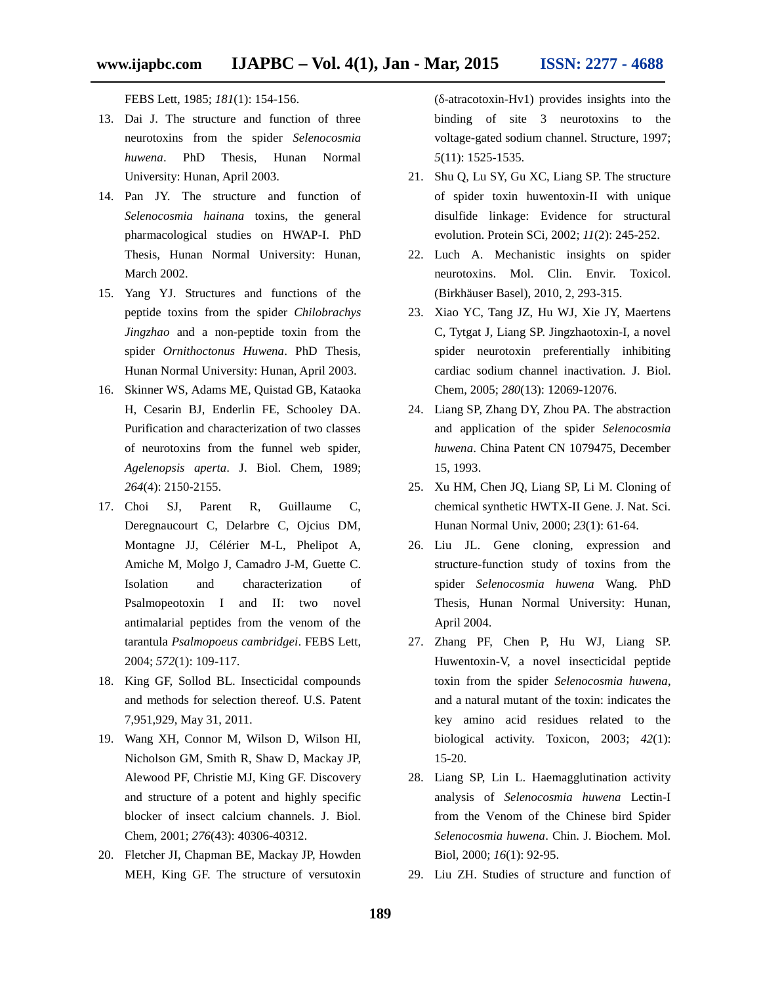FEBS Lett, 1985; *181*(1): 154-156.

- 13. Dai J. The structure and function of three neurotoxins from the spider *Selenocosmia huwena*. PhD Thesis, Hunan Normal University: Hunan, April 2003.
- 14. Pan JY. The structure and function of *Selenocosmia hainana* toxins, the general pharmacological studies on HWAP-I. PhD Thesis, Hunan Normal University: Hunan, March 2002.
- 15. Yang YJ. Structures and functions of the peptide toxins from the spider *Chilobrachys Jingzhao* and a non-peptide toxin from the spider *Ornithoctonus Huwena*. PhD Thesis, Hunan Normal University: Hunan, April 2003.
- 16. Skinner WS, Adams ME, Quistad GB, Kataoka H, Cesarin BJ, Enderlin FE, Schooley DA. Purification and characterization of two classes of neurotoxins from the funnel web spider, *Agelenopsis aperta*. J. Biol. Chem, 1989; *264*(4): 2150-2155.
- 17. Choi SJ, Parent R, Guillaume C, Deregnaucourt C, Delarbre C, Ojcius DM, Montagne JJ, Célérier M-L, Phelipot A, Amiche M, Molgo J, Camadro J-M, Guette C. Isolation and characterization of Psalmopeotoxin I and II: two novel antimalarial peptides from the venom of the tarantula *Psalmopoeus cambridgei*. FEBS Lett, 2004; *572*(1): 109-117.
- 18. King GF, Sollod BL. Insecticidal compounds and methods for selection thereof. U.S. Patent 7,951,929, May 31, 2011.
- 19. Wang XH, Connor M, Wilson D, Wilson HI, Nicholson GM, Smith R, Shaw D, Mackay JP, Alewood PF, Christie MJ, King GF. Discovery and structure of a potent and highly specific blocker of insect calcium channels. J. Biol. Chem, 2001; *276*(43): 40306-40312.
- 20. Fletcher JI, Chapman BE, Mackay JP, Howden MEH, King GF. The structure of versutoxin

(δ-atracotoxin-Hv1) provides insights into the binding of site 3 neurotoxins to the voltage-gated sodium channel. Structure, 1997; *5*(11): 1525-1535.

- 21. Shu Q, Lu SY, Gu XC, Liang SP. The structure of spider toxin huwentoxin-II with unique disulfide linkage: Evidence for structural evolution. Protein SCi, 2002; *11*(2): 245-252.
- 22. Luch A. Mechanistic insights on spider neurotoxins. Mol. Clin. Envir. Toxicol. (Birkhäuser Basel), 2010, 2, 293-315.
- 23. Xiao YC, Tang JZ, Hu WJ, Xie JY, Maertens C, Tytgat J, Liang SP. Jingzhaotoxin-I, a novel spider neurotoxin preferentially inhibiting cardiac sodium channel inactivation. J. Biol. Chem, 2005; *280*(13): 12069-12076.
- 24. Liang SP, Zhang DY, Zhou PA. The abstraction and application of the spider *Selenocosmia huwena*. China Patent CN 1079475, December 15, 1993.
- 25. Xu HM, Chen JQ, Liang SP, Li M. Cloning of chemical synthetic HWTX-II Gene. J. Nat. Sci. Hunan Normal Univ, 2000; *23*(1): 61-64.
- 26. Liu JL. Gene cloning, expression and structure-function study of toxins from the spider *Selenocosmia huwena* Wang. PhD Thesis, Hunan Normal University: Hunan, April 2004.
- 27. Zhang PF, Chen P, Hu WJ, Liang SP. Huwentoxin-V, a novel insecticidal peptide toxin from the spider *Selenocosmia huwena*, and a natural mutant of the toxin: indicates the key amino acid residues related to the biological activity. Toxicon, 2003; *42*(1): 15-20.
- 28. Liang SP, Lin L. Haemagglutination activity analysis of *Selenocosmia huwena* Lectin-I from the Venom of the Chinese bird Spider *Selenocosmia huwena*. Chin. J. Biochem. Mol. Biol, 2000; *16*(1): 92-95.
- 29. Liu ZH. Studies of structure and function of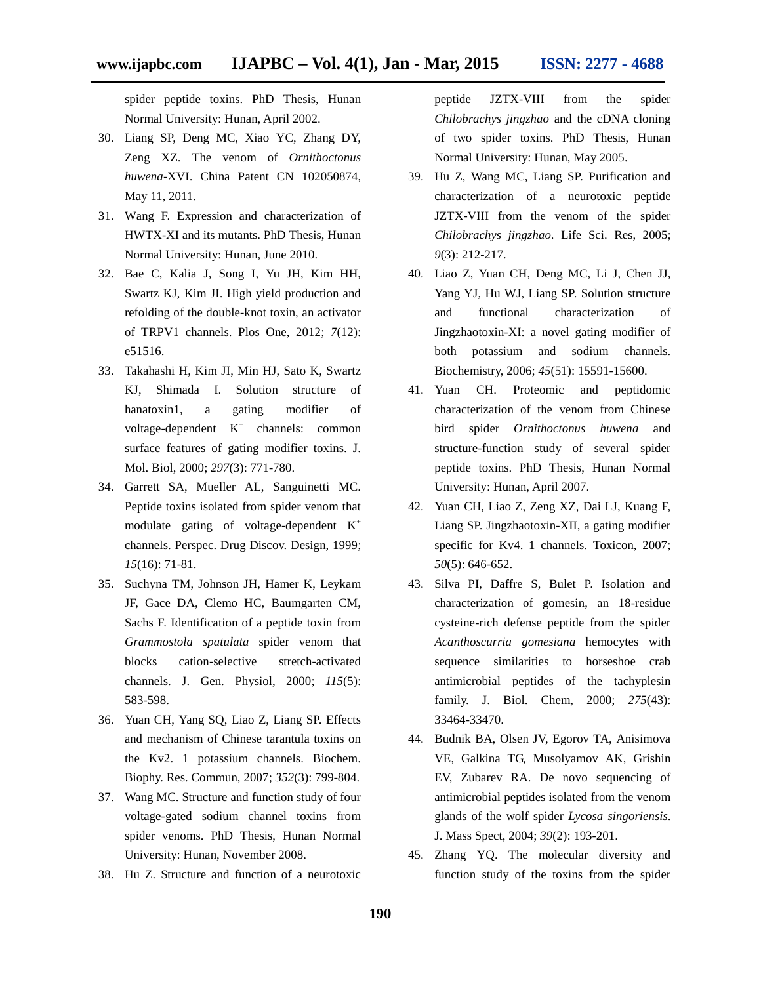spider peptide toxins. PhD Thesis, Hunan Normal University: Hunan, April 2002.

- 30. Liang SP, Deng MC, Xiao YC, Zhang DY, Zeng XZ. The venom of *Ornithoctonus huwena*-XVI. China Patent CN 102050874, May 11, 2011.
- 31. Wang F. Expression and characterization of HWTX-XI and its mutants. PhD Thesis, Hunan Normal University: Hunan, June 2010.
- 32. Bae C, Kalia J, Song I, Yu JH, Kim HH, Swartz KJ, Kim JI. High yield production and refolding of the double-knot toxin, an activator of TRPV1 channels. Plos One, 2012; *7*(12): e51516.
- 33. Takahashi H, Kim JI, Min HJ, Sato K, Swartz KJ, Shimada I. Solution structure of hanatoxin1, a gating modifier of voltage-dependent  $K^+$  channels: common surface features of gating modifier toxins. J. Mol. Biol, 2000; *297*(3): 771-780.
- 34. Garrett SA, Mueller AL, Sanguinetti MC. Peptide toxins isolated from spider venom that modulate gating of voltage-dependent K<sup>+</sup> channels. Perspec. Drug Discov. Design, 1999; *15*(16): 71-81.
- 35. Suchyna TM, Johnson JH, Hamer K, Leykam JF, Gace DA, Clemo HC, Baumgarten CM, Sachs F. Identification of a peptide toxin from *Grammostola spatulata* spider venom that blocks cation-selective stretch-activated channels. J. Gen. Physiol, 2000; *115*(5): 583-598.
- 36. Yuan CH, Yang SQ, Liao Z, Liang SP. Effects and mechanism of Chinese tarantula toxins on the Kv2. 1 potassium channels. Biochem. Biophy. Res. Commun, 2007; *352*(3): 799-804.
- 37. Wang MC. Structure and function study of four voltage-gated sodium channel toxins from spider venoms. PhD Thesis, Hunan Normal University: Hunan, November 2008.
- 38. Hu Z. Structure and function of a neurotoxic

peptide JZTX-VIII from the spider *Chilobrachys jingzhao* and the cDNA cloning of two spider toxins. PhD Thesis, Hunan Normal University: Hunan, May 2005.

- 39. Hu Z, Wang MC, Liang SP. Purification and characterization of a neurotoxic peptide JZTX-VIII from the venom of the spider *Chilobrachys jingzhao*. Life Sci. Res, 2005; *9*(3): 212-217.
- 40. Liao Z, Yuan CH, Deng MC, Li J, Chen JJ, Yang YJ, Hu WJ, Liang SP. Solution structure and functional characterization of Jingzhaotoxin-XI: a novel gating modifier of both potassium and sodium channels. Biochemistry, 2006; *45*(51): 15591-15600.
- 41. Yuan CH. Proteomic and peptidomic characterization of the venom from Chinese bird spider *Ornithoctonus huwena* and structure-function study of several spider peptide toxins. PhD Thesis, Hunan Normal University: Hunan, April 2007.
- 42. Yuan CH, Liao Z, Zeng XZ, Dai LJ, Kuang F, Liang SP. Jingzhaotoxin-XII, a gating modifier specific for Kv4. 1 channels. Toxicon, 2007; *50*(5): 646-652.
- 43. Silva PI, Daffre S, Bulet P. Isolation and characterization of gomesin, an 18-residue cysteine-rich defense peptide from the spider *Acanthoscurria gomesiana* hemocytes with sequence similarities to horseshoe crab antimicrobial peptides of the tachyplesin family. J. Biol. Chem, 2000; *275*(43): 33464-33470.
- 44. Budnik BA, Olsen JV, Egorov TA, Anisimova VE, Galkina TG, Musolyamov AK, Grishin EV, Zubarev RA. De novo sequencing of antimicrobial peptides isolated from the venom glands of the wolf spider *Lycosa singoriensis*. J. Mass Spect, 2004; *39*(2): 193-201.
- 45. Zhang YQ. The molecular diversity and function study of the toxins from the spider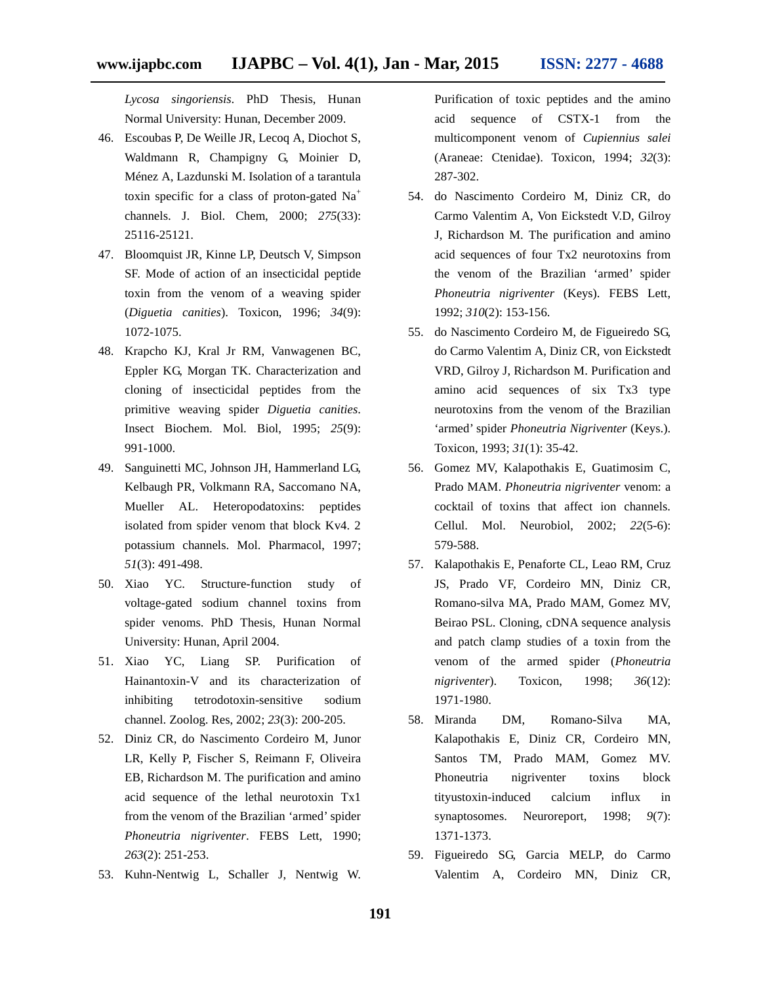*Lycosa singoriensis*. PhD Thesis, Hunan Normal University: Hunan, December 2009.

- 46. Escoubas P, De Weille JR, Lecoq A, Diochot S, Waldmann R, Champigny G, Moinier D, Ménez A, Lazdunski M. Isolation of a tarantula toxin specific for a class of proton-gated Na<sup>+</sup> channels. J. Biol. Chem, 2000; *275*(33): 25116-25121.
- 47. Bloomquist JR, Kinne LP, Deutsch V, Simpson SF. Mode of action of an insecticidal peptide toxin from the venom of a weaving spider (*Diguetia canities*). Toxicon, 1996; *34*(9): 1072-1075.
- 48. Krapcho KJ, Kral Jr RM, Vanwagenen BC, Eppler KG, Morgan TK. Characterization and cloning of insecticidal peptides from the primitive weaving spider *Diguetia canities*. Insect Biochem. Mol. Biol, 1995; *25*(9): 991-1000.
- 49. Sanguinetti MC, Johnson JH, Hammerland LG, Kelbaugh PR, Volkmann RA, Saccomano NA, Mueller AL. Heteropodatoxins: peptides isolated from spider venom that block Kv4. 2 potassium channels. Mol. Pharmacol, 1997; *51*(3): 491-498.
- 50. Xiao YC. Structure-function study of voltage-gated sodium channel toxins from spider venoms. PhD Thesis, Hunan Normal University: Hunan, April 2004.
- 51. Xiao YC, Liang SP. Purification of Hainantoxin-V and its characterization of inhibiting tetrodotoxin-sensitive sodium channel. Zoolog. Res, 2002; *23*(3): 200-205.
- 52. Diniz CR, do Nascimento Cordeiro M, Junor LR, Kelly P, Fischer S, Reimann F, Oliveira EB, Richardson M. The purification and amino acid sequence of the lethal neurotoxin Tx1 from the venom of the Brazilian 'armed' spider *Phoneutria nigriventer*. FEBS Lett, 1990; *263*(2): 251-253.
- 53. Kuhn-Nentwig L, Schaller J, Nentwig W.

Purification of toxic peptides and the amino acid sequence of CSTX-1 from the multicomponent venom of *Cupiennius salei* (Araneae: Ctenidae). Toxicon, 1994; *32*(3): 287-302.

- 54. do Nascimento Cordeiro M, Diniz CR, do Carmo Valentim A, Von Eickstedt V.D, Gilroy J, Richardson M. The purification and amino acid sequences of four Tx2 neurotoxins from the venom of the Brazilian 'armed' spider *Phoneutria nigriventer* (Keys). FEBS Lett, 1992; *310*(2): 153-156.
- 55. do Nascimento Cordeiro M, de Figueiredo SG, do Carmo Valentim A, Diniz CR, von Eickstedt VRD, Gilroy J, Richardson M. Purification and amino acid sequences of six Tx3 type neurotoxins from the venom of the Brazilian 'armed' spider *Phoneutria Nigriventer* (Keys.). Toxicon, 1993; *31*(1): 35-42.
- 56. Gomez MV, Kalapothakis E, Guatimosim C, Prado MAM. *Phoneutria nigriventer* venom: a cocktail of toxins that affect ion channels. Cellul. Mol. Neurobiol, 2002; *22*(5-6): 579-588.
- 57. Kalapothakis E, Penaforte CL, Leao RM, Cruz JS, Prado VF, Cordeiro MN, Diniz CR, Romano-silva MA, Prado MAM, Gomez MV, Beirao PSL. Cloning, cDNA sequence analysis and patch clamp studies of a toxin from the venom of the armed spider (*Phoneutria nigriventer*). Toxicon, 1998; *36*(12): 1971-1980.
- 58. Miranda DM, Romano-Silva MA, Kalapothakis E, Diniz CR, Cordeiro MN, Santos TM, Prado MAM, Gomez MV. Phoneutria nigriventer toxins block tityustoxin-induced calcium influx in synaptosomes. Neuroreport, 1998; *9*(7): 1371-1373.
- 59. Figueiredo SG, Garcia MELP, do Carmo Valentim A, Cordeiro MN, Diniz CR,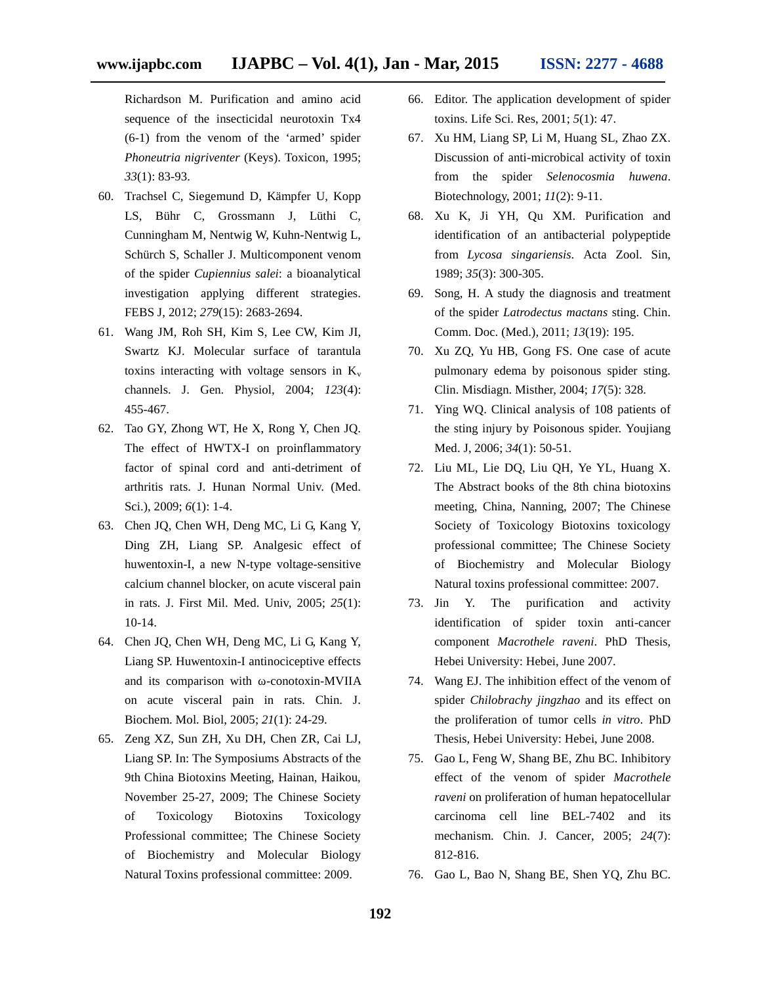Richardson M. Purification and amino acid sequence of the insecticidal neurotoxin Tx4 (6-1) from the venom of the 'armed' spider *Phoneutria nigriventer* (Keys). Toxicon, 1995; *33*(1): 83-93.

- 60. Trachsel C, Siegemund D, Kämpfer U, Kopp LS, Bühr C, Grossmann J, Lüthi C, Cunningham M, Nentwig W, Kuhn-Nentwig L, Schürch S, Schaller J. Multicomponent venom of the spider *Cupiennius salei*: a bioanalytical investigation applying different strategies. FEBS J, 2012; *279*(15): 2683-2694.
- 61. Wang JM, Roh SH, Kim S, Lee CW, Kim JI, Swartz KJ. Molecular surface of tarantula toxins interacting with voltage sensors in  $K_v$ channels. J. Gen. Physiol, 2004; *123*(4): 455-467.
- 62. Tao GY, Zhong WT, He X, Rong Y, Chen JQ. The effect of HWTX-I on proinflammatory factor of spinal cord and anti-detriment of arthritis rats. J. Hunan Normal Univ. (Med. Sci.), 2009; *6*(1): 1-4.
- 63. Chen JQ, Chen WH, Deng MC, Li G, Kang Y, Ding ZH, Liang SP. Analgesic effect of huwentoxin-I, a new N-type voltage-sensitive calcium channel blocker, on acute visceral pain in rats. J. First Mil. Med. Univ, 2005; *25*(1): 10-14.
- 64. Chen JQ, Chen WH, Deng MC, Li G, Kang Y, Liang SP. Huwentoxin-I antinociceptive effects and its comparison with -conotoxin-MVIIA on acute visceral pain in rats. Chin. J. Biochem. Mol. Biol, 2005; *21*(1): 24-29.
- 65. Zeng XZ, Sun ZH, Xu DH, Chen ZR, Cai LJ, Liang SP. In: The Symposiums Abstracts of the 9th China Biotoxins Meeting, Hainan, Haikou, November 25-27, 2009; The Chinese Society of Toxicology Biotoxins Toxicology Professional committee; The Chinese Society of Biochemistry and Molecular Biology Natural Toxins professional committee: 2009.
- 66. Editor. The application development of spider toxins. Life Sci. Res, 2001; *5*(1): 47.
- 67. Xu HM, Liang SP, Li M, Huang SL, Zhao ZX. Discussion of anti-microbical activity of toxin from the spider *Selenocosmia huwena*. Biotechnology, 2001; *11*(2): 9-11.
- 68. Xu K, Ji YH, Qu XM. Purification and identification of an antibacterial polypeptide from *Lycosa singariensis*. Acta Zool. Sin, 1989; *35*(3): 300-305.
- 69. Song, H. A study the diagnosis and treatment of the spider *Latrodectus mactans* sting. Chin. Comm. Doc. (Med.), 2011; *13*(19): 195.
- 70. Xu ZQ, Yu HB, Gong FS. One case of acute pulmonary edema by poisonous spider sting. Clin. Misdiagn. Misther, 2004; *17*(5): 328.
- 71. Ying WQ. Clinical analysis of 108 patients of the sting injury by Poisonous spider. Youjiang Med. J, 2006; *34*(1): 50-51.
- 72. Liu ML, Lie DQ, Liu QH, Ye YL, Huang X. The Abstract books of the 8th china biotoxins meeting, China, Nanning, 2007; The Chinese Society of Toxicology Biotoxins toxicology professional committee; The Chinese Society of Biochemistry and Molecular Biology Natural toxins professional committee: 2007.
- 73. Jin Y. The purification and activity identification of spider toxin anti-cancer component *Macrothele raveni*. PhD Thesis, Hebei University: Hebei, June 2007.
- 74. Wang EJ. The inhibition effect of the venom of spider *Chilobrachy jingzhao* and its effect on the proliferation of tumor cells *in vitro*. PhD Thesis, Hebei University: Hebei, June 2008.
- 75. Gao L, Feng W, Shang BE, Zhu BC. Inhibitory effect of the venom of spider *Macrothele raveni* on proliferation of human hepatocellular carcinoma cell line BEL-7402 and its mechanism. Chin. J. Cancer, 2005; *24*(7): 812-816.
- 76. Gao L, Bao N, Shang BE, Shen YQ, Zhu BC.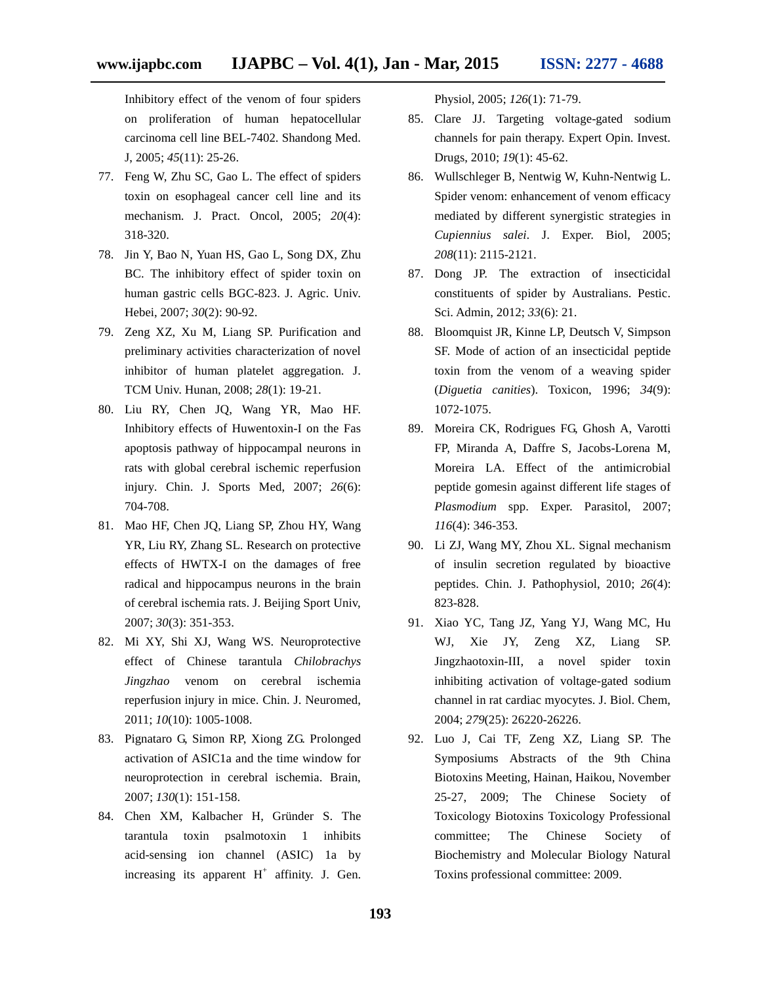Inhibitory effect of the venom of four spiders on proliferation of human hepatocellular carcinoma cell line BEL-7402. Shandong Med. J, 2005; *45*(11): 25-26.

- 77. Feng W, Zhu SC, Gao L. The effect of spiders toxin on esophageal cancer cell line and its mechanism. J. Pract. Oncol, 2005; *20*(4): 318-320.
- 78. Jin Y, Bao N, Yuan HS, Gao L, Song DX, Zhu BC. The inhibitory effect of spider toxin on human gastric cells BGC-823. J. Agric. Univ. Hebei, 2007; *30*(2): 90-92.
- 79. Zeng XZ, Xu M, Liang SP. Purification and preliminary activities characterization of novel inhibitor of human platelet aggregation. J. TCM Univ. Hunan, 2008; *28*(1): 19-21.
- 80. Liu RY, Chen JQ, Wang YR, Mao HF. Inhibitory effects of Huwentoxin-I on the Fas apoptosis pathway of hippocampal neurons in rats with global cerebral ischemic reperfusion injury. Chin. J. Sports Med, 2007; *26*(6): 704-708.
- 81. Mao HF, Chen JQ, Liang SP, Zhou HY, Wang YR, Liu RY, Zhang SL. Research on protective effects of HWTX-I on the damages of free radical and hippocampus neurons in the brain of cerebral ischemia rats. J. Beijing Sport Univ, 2007; *30*(3): 351-353.
- 82. Mi XY, Shi XJ, Wang WS. Neuroprotective effect of Chinese tarantula *Chilobrachys Jingzhao* venom on cerebral ischemia reperfusion injury in mice. Chin. J. Neuromed, 2011; *10*(10): 1005-1008.
- 83. Pignataro G, Simon RP, Xiong ZG. Prolonged activation of ASIC1a and the time window for neuroprotection in cerebral ischemia. Brain, 2007; *130*(1): 151-158.
- 84. Chen XM, Kalbacher H, Gründer S. The tarantula toxin psalmotoxin 1 inhibits acid-sensing ion channel (ASIC) 1a by increasing its apparent  $H^+$  affinity. J. Gen.

Physiol, 2005; *126*(1): 71-79.

- 85. Clare JJ. Targeting voltage-gated sodium channels for pain therapy. Expert Opin. Invest. Drugs, 2010; *19*(1): 45-62.
- 86. Wullschleger B, Nentwig W, Kuhn-Nentwig L. Spider venom: enhancement of venom efficacy mediated by different synergistic strategies in *Cupiennius salei*. J. Exper. Biol, 2005; *208*(11): 2115-2121.
- 87. Dong JP. The extraction of insecticidal constituents of spider by Australians. Pestic. Sci. Admin, 2012; *33*(6): 21.
- 88. Bloomquist JR, Kinne LP, Deutsch V, Simpson SF. Mode of action of an insecticidal peptide toxin from the venom of a weaving spider (*Diguetia canities*). Toxicon, 1996; *34*(9): 1072-1075.
- 89. Moreira CK, Rodrigues FG, Ghosh A, Varotti FP, Miranda A, Daffre S, Jacobs-Lorena M, Moreira LA. Effect of the antimicrobial peptide gomesin against different life stages of *Plasmodium* spp. Exper. Parasitol, 2007; *116*(4): 346-353.
- 90. Li ZJ, Wang MY, Zhou XL. Signal mechanism of insulin secretion regulated by bioactive peptides. Chin. J. Pathophysiol, 2010; *26*(4): 823-828.
- 91. Xiao YC, Tang JZ, Yang YJ, Wang MC, Hu WJ, Xie JY, Zeng XZ, Liang SP. Jingzhaotoxin-III, a novel spider toxin inhibiting activation of voltage-gated sodium channel in rat cardiac myocytes. J. Biol. Chem, 2004; *279*(25): 26220-26226.
- 92. Luo J, Cai TF, Zeng XZ, Liang SP. The Symposiums Abstracts of the 9th China Biotoxins Meeting, Hainan, Haikou, November 25-27, 2009; The Chinese Society of Toxicology Biotoxins Toxicology Professional committee; The Chinese Society of Biochemistry and Molecular Biology Natural Toxins professional committee: 2009.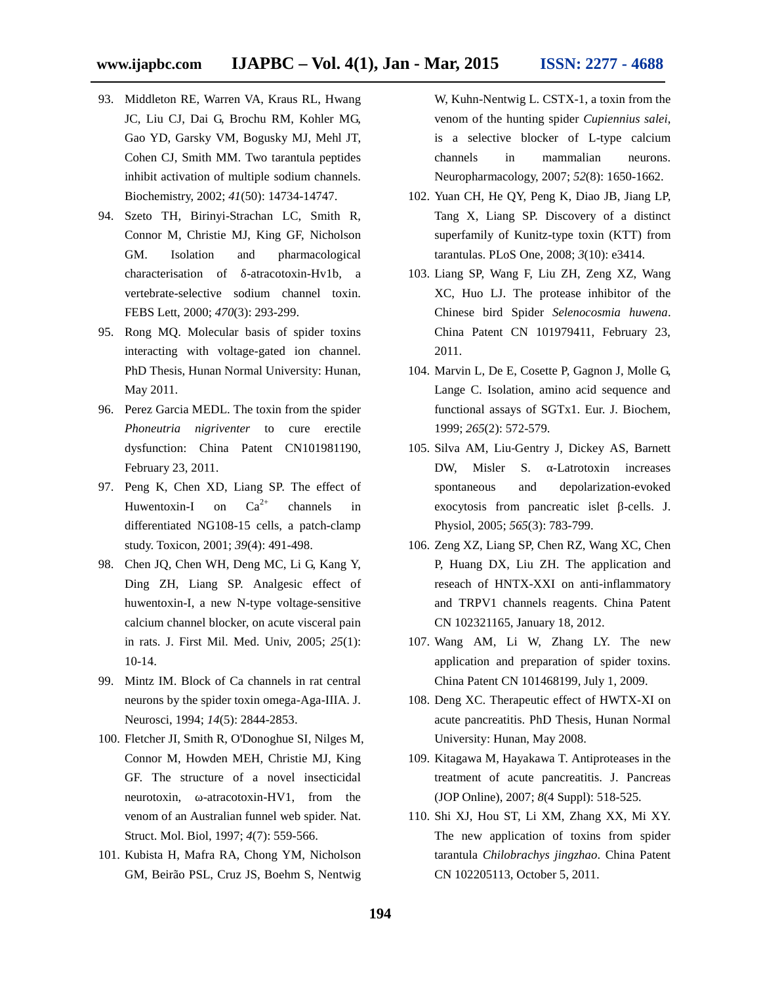- 93. Middleton RE, Warren VA, Kraus RL, Hwang JC, Liu CJ, Dai G, Brochu RM, Kohler MG, Gao YD, Garsky VM, Bogusky MJ, Mehl JT, Cohen CJ, Smith MM. Two tarantula peptides inhibit activation of multiple sodium channels. Biochemistry, 2002; *41*(50): 14734-14747.
- 94. Szeto TH, Birinyi-Strachan LC, Smith R, Connor M, Christie MJ, King GF, Nicholson GM. Isolation and pharmacological characterisation of -atracotoxin-Hv1b, a vertebrate-selective sodium channel toxin. FEBS Lett, 2000; *470*(3): 293-299.
- 95. Rong MQ. Molecular basis of spider toxins interacting with voltage-gated ion channel. PhD Thesis, Hunan Normal University: Hunan, May 2011.
- 96. Perez Garcia MEDL. The toxin from the spider *Phoneutria nigriventer* to cure erectile dysfunction: China Patent CN101981190, February 23, 2011.
- 97. Peng K, Chen XD, Liang SP. The effect of Huwentoxin-I on  $Ca^{2+}$  channels in differentiated NG108-15 cells, a patch-clamp study. Toxicon, 2001; *39*(4): 491-498.
- 98. Chen JQ, Chen WH, Deng MC, Li G, Kang Y, Ding ZH, Liang SP. Analgesic effect of huwentoxin-I, a new N-type voltage-sensitive calcium channel blocker, on acute visceral pain in rats. J. First Mil. Med. Univ, 2005; *25*(1): 10-14.
- 99. Mintz IM. Block of Ca channels in rat central neurons by the spider toxin omega-Aga-IIIA. J. Neurosci, 1994; *14*(5): 2844-2853.
- 100. Fletcher JI, Smith R, O'Donoghue SI, Nilges M, Connor M, Howden MEH, Christie MJ, King GF. The structure of a novel insecticidal neurotoxin, -atracotoxin-HV1, from the venom of an Australian funnel web spider. Nat. Struct. Mol. Biol, 1997; *4*(7): 559-566.
- 101. Kubista H, Mafra RA, Chong YM, Nicholson GM, Beirão PSL, Cruz JS, Boehm S, Nentwig

W, Kuhn-Nentwig L. CSTX-1, a toxin from the venom of the hunting spider *Cupiennius salei*, is a selective blocker of L-type calcium channels in mammalian neurons. Neuropharmacology, 2007; *52*(8): 1650-1662.

- 102. Yuan CH, He QY, Peng K, Diao JB, Jiang LP, Tang X, Liang SP. Discovery of a distinct superfamily of Kunitz-type toxin (KTT) from tarantulas. PLoS One, 2008; *3*(10): e3414.
- 103. Liang SP, Wang F, Liu ZH, Zeng XZ, Wang XC, Huo LJ. The protease inhibitor of the Chinese bird Spider *Selenocosmia huwena*. China Patent CN 101979411, February 23, 2011.
- 104. Marvin L, De E, Cosette P, Gagnon J, Molle G, Lange C. Isolation, amino acid sequence and functional assays of SGTx1. Eur. J. Biochem, 1999; *265*(2): 572-579.
- 105. Silva AM, Liu‐Gentry J, Dickey AS, Barnett DW, Misler S. -Latrotoxin increases spontaneous and depolarization-evoked exocytosis from pancreatic islet -cells. J. Physiol, 2005; *565*(3): 783-799.
- 106. Zeng XZ, Liang SP, Chen RZ, Wang XC, Chen P, Huang DX, Liu ZH. The application and reseach of HNTX-XXI on anti-inflammatory and TRPV1 channels reagents. China Patent CN 102321165, January 18, 2012.
- 107. Wang AM, Li W, Zhang LY. The new application and preparation of spider toxins. China Patent CN 101468199, July 1, 2009.
- 108. Deng XC. Therapeutic effect of HWTX-XI on acute pancreatitis. PhD Thesis, Hunan Normal University: Hunan, May 2008.
- 109. Kitagawa M, Hayakawa T. Antiproteases in the treatment of acute pancreatitis. J. Pancreas (JOP Online), 2007; *8*(4 Suppl): 518-525.
- 110. Shi XJ, Hou ST, Li XM, Zhang XX, Mi XY. The new application of toxins from spider tarantula *Chilobrachys jingzhao*. China Patent CN 102205113, October 5, 2011.